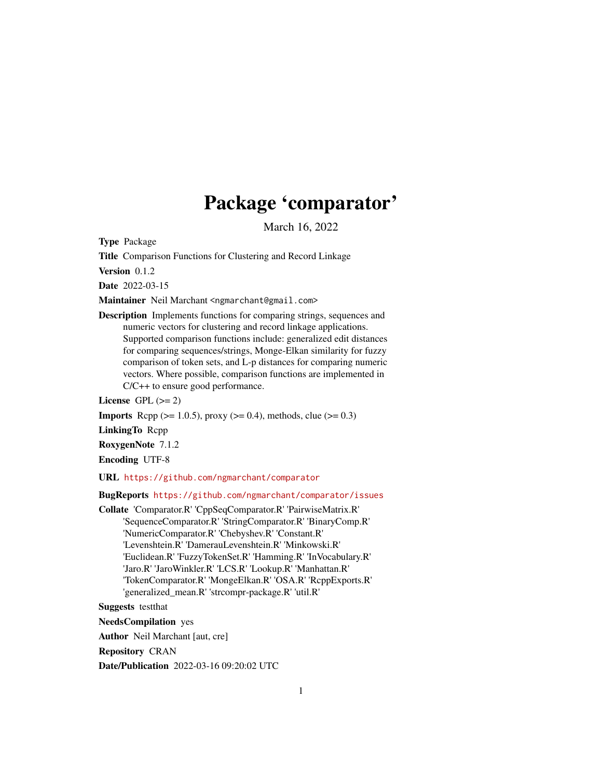# Package 'comparator'

March 16, 2022

<span id="page-0-0"></span>Type Package

Title Comparison Functions for Clustering and Record Linkage

Version 0.1.2

Date 2022-03-15

Maintainer Neil Marchant <ngmarchant@gmail.com>

Description Implements functions for comparing strings, sequences and numeric vectors for clustering and record linkage applications. Supported comparison functions include: generalized edit distances for comparing sequences/strings, Monge-Elkan similarity for fuzzy comparison of token sets, and L-p distances for comparing numeric vectors. Where possible, comparison functions are implemented in C/C++ to ensure good performance.

License GPL  $(>= 2)$ 

**Imports** Rcpp ( $>= 1.0.5$ ), proxy ( $>= 0.4$ ), methods, clue ( $>= 0.3$ )

LinkingTo Rcpp

RoxygenNote 7.1.2

Encoding UTF-8

URL <https://github.com/ngmarchant/comparator>

#### BugReports <https://github.com/ngmarchant/comparator/issues>

Collate 'Comparator.R' 'CppSeqComparator.R' 'PairwiseMatrix.R' 'SequenceComparator.R' 'StringComparator.R' 'BinaryComp.R' 'NumericComparator.R' 'Chebyshev.R' 'Constant.R' 'Levenshtein.R' 'DamerauLevenshtein.R' 'Minkowski.R' 'Euclidean.R' 'FuzzyTokenSet.R' 'Hamming.R' 'InVocabulary.R' 'Jaro.R' 'JaroWinkler.R' 'LCS.R' 'Lookup.R' 'Manhattan.R' 'TokenComparator.R' 'MongeElkan.R' 'OSA.R' 'RcppExports.R' 'generalized\_mean.R' 'strcompr-package.R' 'util.R'

Suggests testthat

NeedsCompilation yes

Author Neil Marchant [aut, cre]

Repository CRAN

Date/Publication 2022-03-16 09:20:02 UTC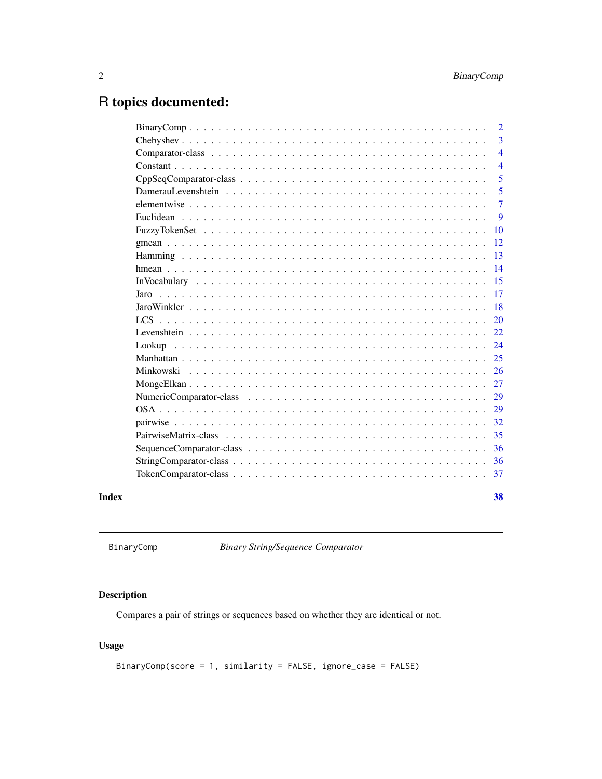## <span id="page-1-0"></span>R topics documented:

|       |      | $\overline{2}$ |
|-------|------|----------------|
|       |      | 3              |
|       |      | $\overline{4}$ |
|       |      | $\overline{4}$ |
|       |      | 5              |
|       |      | 5              |
|       |      | 7              |
|       |      | 9              |
|       |      | 10             |
|       |      | 12             |
|       |      | 13             |
|       |      | 14             |
|       |      | 15             |
|       | Jaro | 17             |
|       |      | 18             |
|       |      | 20             |
|       |      | 22             |
|       |      | 24             |
|       |      | 25             |
|       |      | 26             |
|       |      | 27             |
|       |      | 29             |
|       |      | 29             |
|       |      | 32             |
|       |      | 35             |
|       |      | 36             |
|       |      | 36             |
|       |      | 37             |
| Index |      | 38             |

BinaryComp *Binary String/Sequence Comparator*

### Description

Compares a pair of strings or sequences based on whether they are identical or not.

### Usage

```
BinaryComp(score = 1, similarity = FALSE, ignore_case = FALSE)
```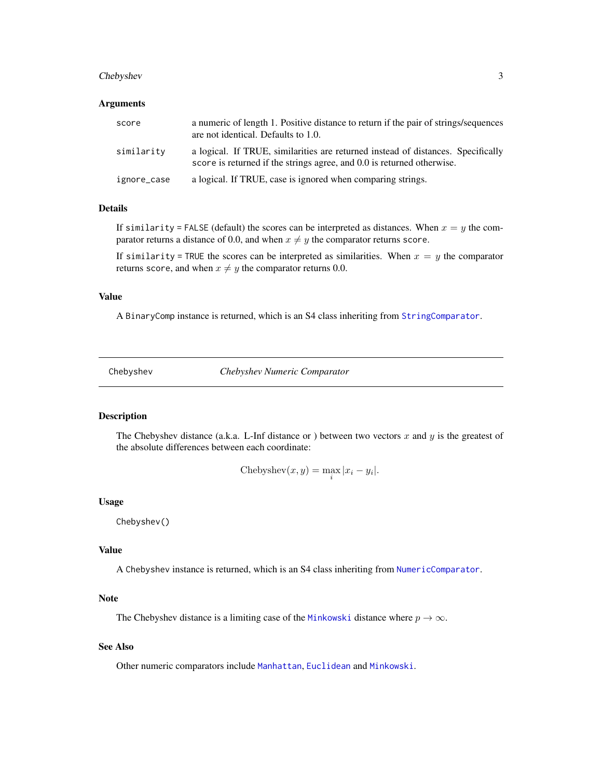#### <span id="page-2-0"></span>Chebyshev 3

#### Arguments

| score       | a numeric of length 1. Positive distance to return if the pair of strings/sequences<br>are not identical. Defaults to 1.0.                                 |
|-------------|------------------------------------------------------------------------------------------------------------------------------------------------------------|
| similarity  | a logical. If TRUE, similarities are returned instead of distances. Specifically<br>score is returned if the strings agree, and 0.0 is returned otherwise. |
| ignore_case | a logical. If TRUE, case is ignored when comparing strings.                                                                                                |

#### Details

If similarity = FALSE (default) the scores can be interpreted as distances. When  $x = y$  the comparator returns a distance of 0.0, and when  $x \neq y$  the comparator returns score.

If similarity = TRUE the scores can be interpreted as similarities. When  $x = y$  the comparator returns score, and when  $x \neq y$  the comparator returns 0.0.

#### Value

A BinaryComp instance is returned, which is an S4 class inheriting from [StringComparator](#page-35-1).

<span id="page-2-1"></span>Chebyshev *Chebyshev Numeric Comparator*

#### Description

The Chebyshev distance (a.k.a. L-Inf distance or ) between two vectors x and y is the greatest of the absolute differences between each coordinate:

Chebyshev
$$
(x, y) = \max_i |x_i - y_i|
$$
.

#### Usage

Chebyshev()

#### Value

A Chebyshev instance is returned, which is an S4 class inheriting from [NumericComparator](#page-28-1).

#### Note

The Chebyshev distance is a limiting case of the [Minkowski](#page-25-1) distance where  $p \to \infty$ .

#### See Also

Other numeric comparators include [Manhattan](#page-24-1), [Euclidean](#page-8-1) and [Minkowski](#page-25-1).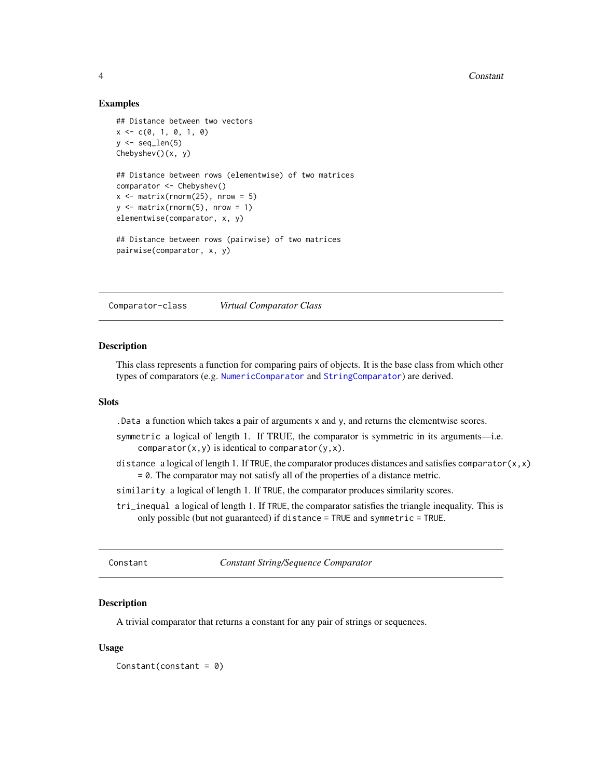#### 4 Constant

#### Examples

```
## Distance between two vectors
x \leq -c(0, 1, 0, 1, 0)y \leftarrow \text{seq\_len}(5)Chebyshev()(x, y)
## Distance between rows (elementwise) of two matrices
comparator <- Chebyshev()
x \le - matrix(rnorm(25), nrow = 5)
y \le - matrix(rnorm(5), nrow = 1)
elementwise(comparator, x, y)
## Distance between rows (pairwise) of two matrices
pairwise(comparator, x, y)
```
<span id="page-3-1"></span>Comparator-class *Virtual Comparator Class*

#### Description

This class represents a function for comparing pairs of objects. It is the base class from which other types of comparators (e.g. [NumericComparator](#page-28-1) and [StringComparator](#page-35-1)) are derived.

#### **Slots**

.Data a function which takes a pair of arguments x and y, and returns the elementwise scores.

- symmetric a logical of length 1. If TRUE, the comparator is symmetric in its arguments—i.e. comparator $(x, y)$  is identical to comparator $(y, x)$ .
- distance a logical of length 1. If TRUE, the comparator produces distances and satisfies comparator $(x, x)$  $= 0$ . The comparator may not satisfy all of the properties of a distance metric.
- similarity a logical of length 1. If TRUE, the comparator produces similarity scores.
- tri\_inequal a logical of length 1. If TRUE, the comparator satisfies the triangle inequality. This is only possible (but not guaranteed) if distance = TRUE and symmetric = TRUE.

Constant *Constant String/Sequence Comparator*

#### Description

A trivial comparator that returns a constant for any pair of strings or sequences.

#### Usage

Constant(constant =  $0$ )

<span id="page-3-0"></span>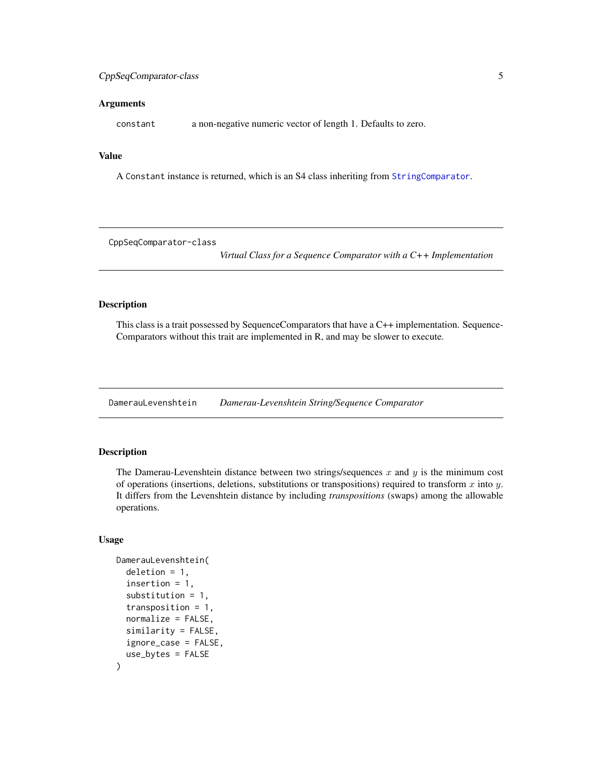#### <span id="page-4-0"></span>Arguments

constant a non-negative numeric vector of length 1. Defaults to zero.

#### Value

A Constant instance is returned, which is an S4 class inheriting from [StringComparator](#page-35-1).

<span id="page-4-1"></span>CppSeqComparator-class

*Virtual Class for a Sequence Comparator with a C++ Implementation*

#### Description

This class is a trait possessed by SequenceComparators that have a C++ implementation. Sequence-Comparators without this trait are implemented in R, and may be slower to execute.

<span id="page-4-2"></span>DamerauLevenshtein *Damerau-Levenshtein String/Sequence Comparator*

#### Description

The Damerau-Levenshtein distance between two strings/sequences  $x$  and  $y$  is the minimum cost of operations (insertions, deletions, substitutions or transpositions) required to transform x into y. It differs from the Levenshtein distance by including *transpositions* (swaps) among the allowable operations.

#### Usage

```
DamerauLevenshtein(
  deletion = 1,
  insertion = 1,
  substitution = 1,
  transposition = 1,
  normalize = FALSE,
  similarity = FALSE,
  ignore_case = FALSE,
  use_bytes = FALSE
)
```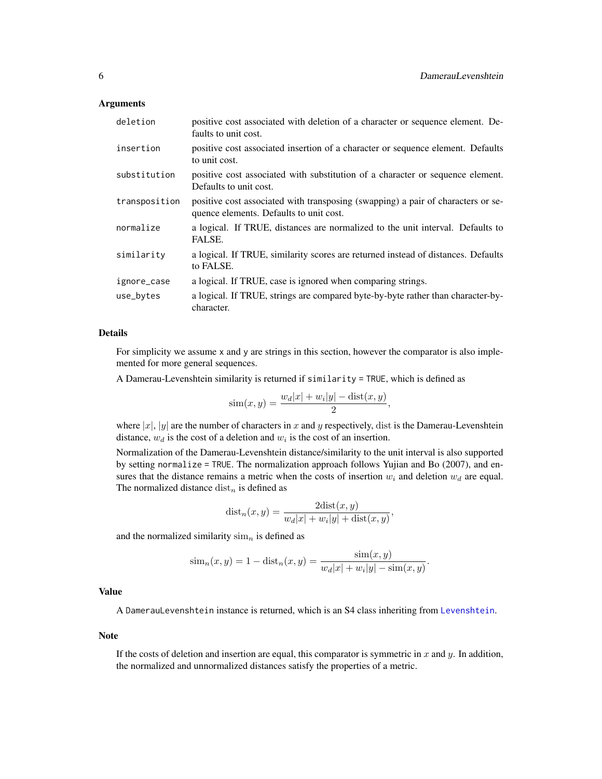#### <span id="page-5-0"></span>Arguments

| deletion      | positive cost associated with deletion of a character or sequence element. De-<br>faults to unit cost.                      |
|---------------|-----------------------------------------------------------------------------------------------------------------------------|
| insertion     | positive cost associated insertion of a character or sequence element. Defaults<br>to unit cost.                            |
| substitution  | positive cost associated with substitution of a character or sequence element.<br>Defaults to unit cost.                    |
| transposition | positive cost associated with transposing (swapping) a pair of characters or se-<br>quence elements. Defaults to unit cost. |
| normalize     | a logical. If TRUE, distances are normalized to the unit interval. Defaults to<br>FALSE.                                    |
| similarity    | a logical. If TRUE, similarity scores are returned instead of distances. Defaults<br>to FALSE.                              |
| ignore_case   | a logical. If TRUE, case is ignored when comparing strings.                                                                 |
| use_bytes     | a logical. If TRUE, strings are compared byte-by-byte rather than character-by-<br>character.                               |

#### Details

For simplicity we assume x and y are strings in this section, however the comparator is also implemented for more general sequences.

A Damerau-Levenshtein similarity is returned if similarity = TRUE, which is defined as

$$
\text{sim}(x, y) = \frac{w_d |x| + w_i |y| - \text{dist}(x, y)}{2},
$$

where  $|x|$ ,  $|y|$  are the number of characters in x and y respectively, dist is the Damerau-Levenshtein distance,  $w_d$  is the cost of a deletion and  $w_i$  is the cost of an insertion.

Normalization of the Damerau-Levenshtein distance/similarity to the unit interval is also supported by setting normalize = TRUE. The normalization approach follows Yujian and Bo (2007), and ensures that the distance remains a metric when the costs of insertion  $w_i$  and deletion  $w_d$  are equal. The normalized distance  $dist_n$  is defined as

$$
dist_n(x, y) = \frac{2dist(x, y)}{w_d|x| + w_i|y| + dist(x, y)},
$$

and the normalized similarity  $\lim_{n}$  is defined as

$$
\text{sim}_{n}(x, y) = 1 - \text{dist}_{n}(x, y) = \frac{\text{sim}(x, y)}{w_{d}|x| + w_{i}|y| - \text{sim}(x, y)}.
$$

#### Value

A DamerauLevenshtein instance is returned, which is an S4 class inheriting from [Levenshtein](#page-21-1).

#### Note

If the costs of deletion and insertion are equal, this comparator is symmetric in x and y. In addition, the normalized and unnormalized distances satisfy the properties of a metric.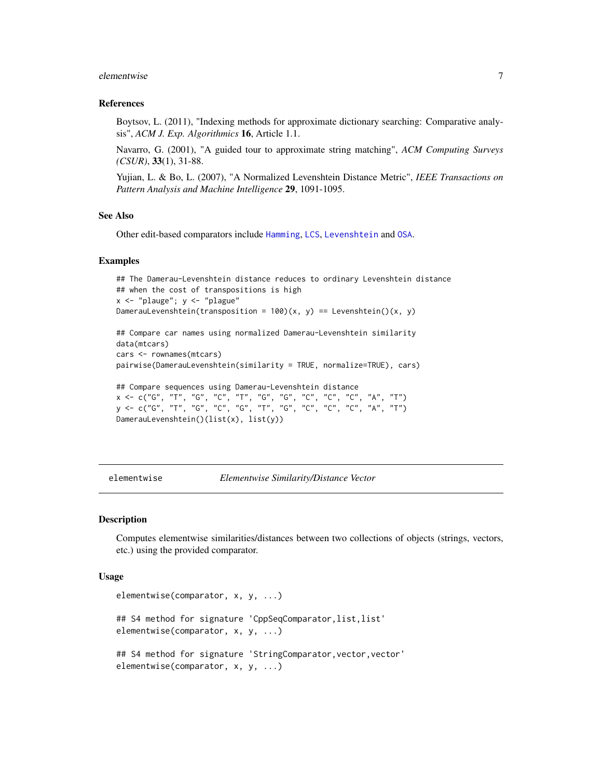#### <span id="page-6-0"></span>elementwise 7

#### References

Boytsov, L. (2011), "Indexing methods for approximate dictionary searching: Comparative analysis", *ACM J. Exp. Algorithmics* 16, Article 1.1.

Navarro, G. (2001), "A guided tour to approximate string matching", *ACM Computing Surveys (CSUR)*, 33(1), 31-88.

Yujian, L. & Bo, L. (2007), "A Normalized Levenshtein Distance Metric", *IEEE Transactions on Pattern Analysis and Machine Intelligence* 29, 1091-1095.

#### See Also

Other edit-based comparators include [Hamming](#page-12-1), [LCS](#page-19-1), [Levenshtein](#page-21-1) and [OSA](#page-28-2).

#### Examples

```
## The Damerau-Levenshtein distance reduces to ordinary Levenshtein distance
## when the cost of transpositions is high
x \leftarrow "plauge"; y \leftarrow "plague"
DamerauLevenshtein(transposition = 100(x, y) == Levenshtein()(x, y)
## Compare car names using normalized Damerau-Levenshtein similarity
data(mtcars)
cars <- rownames(mtcars)
pairwise(DamerauLevenshtein(similarity = TRUE, normalize=TRUE), cars)
## Compare sequences using Damerau-Levenshtein distance
x <- c("G", "T", "G", "C", "T", "G", "G", "C", "C", "C", "A", "T")
y <- c("G", "T", "G", "C", "G", "T", "G", "C", "C", "C", "A", "T")
DamerauLevenshtein()(list(x), list(y))
```
elementwise *Elementwise Similarity/Distance Vector*

#### Description

Computes elementwise similarities/distances between two collections of objects (strings, vectors, etc.) using the provided comparator.

#### Usage

```
elementwise(comparator, x, y, ...)
## S4 method for signature 'CppSeqComparator, list, list'
elementwise(comparator, x, y, ...)
## S4 method for signature 'StringComparator, vector, vector'
elementwise(comparator, x, y, ...)
```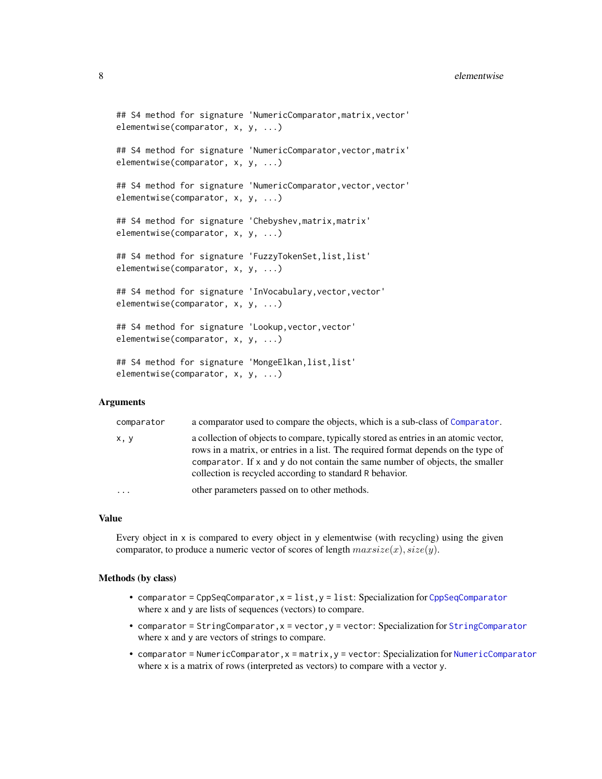#### <span id="page-7-0"></span>8 elementwise van die stelling van die stelling van die stelling van die stelling van die stelling van die stelling van die stelling van die stelling van die stelling van die stelling van die stelling van die stelling van

```
## S4 method for signature 'NumericComparator, matrix, vector'
elementwise(comparator, x, y, ...)
## S4 method for signature 'NumericComparator,vector,matrix'
elementwise(comparator, x, y, ...)
## S4 method for signature 'NumericComparator, vector, vector'
elementwise(comparator, x, y, ...)
## S4 method for signature 'Chebyshev,matrix,matrix'
elementwise(comparator, x, y, ...)
## S4 method for signature 'FuzzyTokenSet,list,list'
elementwise(comparator, x, y, ...)
## S4 method for signature 'InVocabulary, vector, vector'
elementwise(comparator, x, y, ...)
## S4 method for signature 'Lookup, vector, vector'
elementwise(comparator, x, y, ...)
## S4 method for signature 'MongeElkan,list,list'
elementwise(comparator, x, y, ...)
```
#### Arguments

| comparator | a comparator used to compare the objects, which is a sub-class of Comparator.                                                                                                                                                                                                                                               |
|------------|-----------------------------------------------------------------------------------------------------------------------------------------------------------------------------------------------------------------------------------------------------------------------------------------------------------------------------|
| х, у       | a collection of objects to compare, typically stored as entries in an atomic vector,<br>rows in a matrix, or entries in a list. The required format depends on the type of<br>comparator. If $x$ and $y$ do not contain the same number of objects, the smaller<br>collection is recycled according to standard R behavior. |
| $\cdots$   | other parameters passed on to other methods.                                                                                                                                                                                                                                                                                |

#### Value

Every object in x is compared to every object in y elementwise (with recycling) using the given comparator, to produce a numeric vector of scores of length  $maxsize(x)$ ,  $size(y)$ .

#### Methods (by class)

- comparator = [CppSeqComparator](#page-4-1), $x = list$ ,  $y = list$ : Specialization for CppSeqComparator where x and y are lists of sequences (vectors) to compare.
- comparator = [StringComparator](#page-35-1), x = vector, y = vector: Specialization for StringComparator where x and y are vectors of strings to compare.
- comparator = NumericComparator,x = matrix,y = vector: Specialization for [NumericComparator](#page-28-1) where x is a matrix of rows (interpreted as vectors) to compare with a vector y.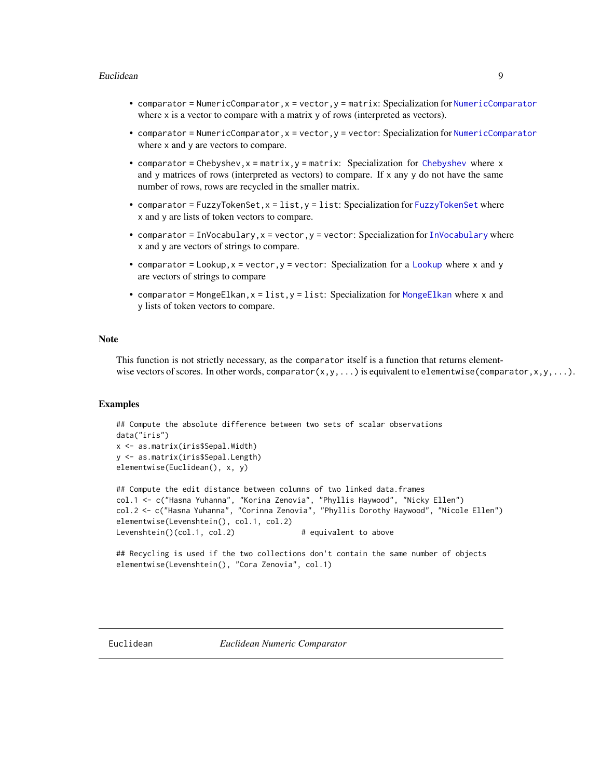#### <span id="page-8-0"></span>Euclidean 9

- comparator = NumericComparator,x = vector,y = matrix: Specialization for [NumericComparator](#page-28-1) where  $x$  is a vector to compare with a matrix  $y$  of rows (interpreted as vectors).
- comparator = [NumericComparator](#page-28-1), x = vector, y = vector: Specialization for NumericComparator where x and y are vectors to compare.
- comparator = [Chebyshev](#page-2-1),  $x = matrix$ ,  $y = matrix$ : Specialization for Chebyshev where x and y matrices of rows (interpreted as vectors) to compare. If  $x$  any  $y$  do not have the same number of rows, rows are recycled in the smaller matrix.
- comparator = [FuzzyTokenSet](#page-9-1),  $x =$  list,  $y =$  list: Specialization for FuzzyTokenSet where x and y are lists of token vectors to compare.
- comparator = [InVocabulary](#page-14-1),  $x =$  vector,  $y =$  vector: Specialization for InVocabulary where x and y are vectors of strings to compare.
- comparator = [Lookup](#page-23-1),  $x =$  vector,  $y =$  vector: Specialization for a Lookup where  $x$  and  $y$ are vectors of strings to compare
- comparator = [MongeElkan](#page-26-1), x = list, y = list: Specialization for MongeElkan where x and y lists of token vectors to compare.

#### Note

This function is not strictly necessary, as the comparator itself is a function that returns elementwise vectors of scores. In other words, comparator(x,y,...) is equivalent to elementwise(comparator,x,y,...).

#### Examples

```
## Compute the absolute difference between two sets of scalar observations
data("iris")
x <- as.matrix(iris$Sepal.Width)
y <- as.matrix(iris$Sepal.Length)
elementwise(Euclidean(), x, y)
```

```
## Compute the edit distance between columns of two linked data.frames
col.1 <- c("Hasna Yuhanna", "Korina Zenovia", "Phyllis Haywood", "Nicky Ellen")
col.2 <- c("Hasna Yuhanna", "Corinna Zenovia", "Phyllis Dorothy Haywood", "Nicole Ellen")
elementwise(Levenshtein(), col.1, col.2)
Levenshtein()(col.1, col.2) # equivalent to above
```

```
## Recycling is used if the two collections don't contain the same number of objects
elementwise(Levenshtein(), "Cora Zenovia", col.1)
```
<span id="page-8-1"></span>Euclidean *Euclidean Numeric Comparator*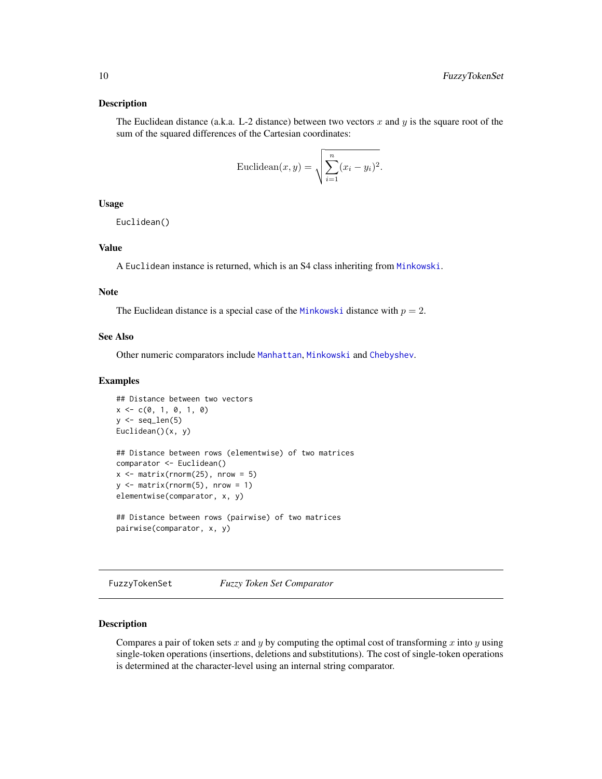#### <span id="page-9-0"></span>Description

The Euclidean distance (a.k.a. L-2 distance) between two vectors x and y is the square root of the sum of the squared differences of the Cartesian coordinates:

$$
\text{Euclidean}(x, y) = \sqrt{\sum_{i=1}^{n} (x_i - y_i)^2}.
$$

#### Usage

Euclidean()

#### Value

A Euclidean instance is returned, which is an S4 class inheriting from [Minkowski](#page-25-1).

#### Note

The Euclidean distance is a special case of the [Minkowski](#page-25-1) distance with  $p = 2$ .

#### See Also

Other numeric comparators include [Manhattan](#page-24-1), [Minkowski](#page-25-1) and [Chebyshev](#page-2-1).

#### Examples

```
## Distance between two vectors
x \leq -c(0, 1, 0, 1, 0)y \leftarrow \text{seq\_len}(5)Euclidean()(x, y)
## Distance between rows (elementwise) of two matrices
comparator <- Euclidean()
x \le - matrix(rnorm(25), nrow = 5)
y \le - matrix(rnorm(5), nrow = 1)
elementwise(comparator, x, y)
## Distance between rows (pairwise) of two matrices
```
pairwise(comparator, x, y)

<span id="page-9-1"></span>FuzzyTokenSet *Fuzzy Token Set Comparator*

#### Description

Compares a pair of token sets  $x$  and  $y$  by computing the optimal cost of transforming  $x$  into  $y$  using single-token operations (insertions, deletions and substitutions). The cost of single-token operations is determined at the character-level using an internal string comparator.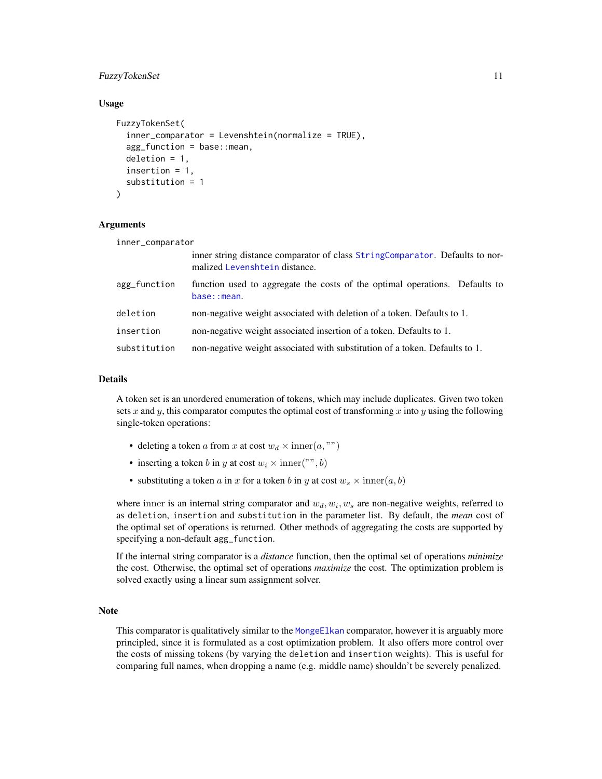#### <span id="page-10-0"></span>FuzzyTokenSet 11

#### Usage

```
FuzzyTokenSet(
  inner_comparator = Levenshtein(normalize = TRUE),
  agg_function = base::mean,
  deletion = 1,
  insertion = 1,
  substitution = 1
)
```
#### Arguments

| inner_comparator                                                                                              |                                                                                            |  |
|---------------------------------------------------------------------------------------------------------------|--------------------------------------------------------------------------------------------|--|
| inner string distance comparator of class StringComparator. Defaults to nor-<br>malized Levenshtein distance. |                                                                                            |  |
| agg_function                                                                                                  | function used to aggregate the costs of the optimal operations. Defaults to<br>base::mean. |  |
| deletion                                                                                                      | non-negative weight associated with deletion of a token. Defaults to 1.                    |  |
| insertion                                                                                                     | non-negative weight associated insertion of a token. Defaults to 1.                        |  |
| substitution                                                                                                  | non-negative weight associated with substitution of a token. Defaults to 1.                |  |

#### Details

A token set is an unordered enumeration of tokens, which may include duplicates. Given two token sets x and y, this comparator computes the optimal cost of transforming x into y using the following single-token operations:

- deleting a token a from x at cost  $w_d \times \text{inner}(a, \text{""})$
- inserting a token b in y at cost  $w_i \times \text{inner}("", b)$
- substituting a token a in x for a token b in y at cost  $w_s \times \text{inner}(a, b)$

where inner is an internal string comparator and  $w_d, w_i, w_s$  are non-negative weights, referred to as deletion, insertion and substitution in the parameter list. By default, the *mean* cost of the optimal set of operations is returned. Other methods of aggregating the costs are supported by specifying a non-default agg\_function.

If the internal string comparator is a *distance* function, then the optimal set of operations *minimize* the cost. Otherwise, the optimal set of operations *maximize* the cost. The optimization problem is solved exactly using a linear sum assignment solver.

#### Note

This comparator is qualitatively similar to the [MongeElkan](#page-26-1) comparator, however it is arguably more principled, since it is formulated as a cost optimization problem. It also offers more control over the costs of missing tokens (by varying the deletion and insertion weights). This is useful for comparing full names, when dropping a name (e.g. middle name) shouldn't be severely penalized.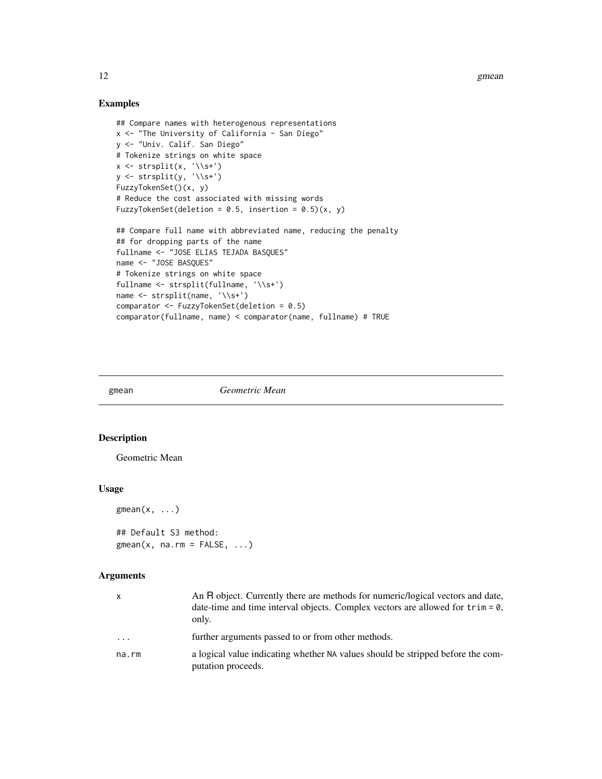12 gmean

#### Examples

```
## Compare names with heterogenous representations
x <- "The University of California - San Diego"
y <- "Univ. Calif. San Diego"
# Tokenize strings on white space
x \leftarrow \text{strsplit}(x, \sqrt{\frac{s+1}{s}})y <- strsplit(y, '\\s+')
FuzzyTokenSet()(x, y)
# Reduce the cost associated with missing words
FuzzyTokenSet(deletion = 0.5, insertion = 0.5)(x, y)
## Compare full name with abbreviated name, reducing the penalty
## for dropping parts of the name
fullname <- "JOSE ELIAS TEJADA BASQUES"
name <- "JOSE BASQUES"
# Tokenize strings on white space
fullname <- strsplit(fullname, '\\s+')
name <- strsplit(name, '\\s+')
comparator <- FuzzyTokenSet(deletion = 0.5)
comparator(fullname, name) < comparator(name, fullname) # TRUE
```
<span id="page-11-1"></span>gmean *Geometric Mean*

#### Description

Geometric Mean

#### Usage

 $gmean(x, \ldots)$ 

## Default S3 method:  $gmean(x, na.rm = FALSE, ...)$ 

#### Arguments

| x     | An R object. Currently there are methods for numeric/logical vectors and date,<br>date-time and time interval objects. Complex vectors are allowed for $\text{trim} = \emptyset$ ,<br>only. |
|-------|---------------------------------------------------------------------------------------------------------------------------------------------------------------------------------------------|
| .     | further arguments passed to or from other methods.                                                                                                                                          |
| na.rm | a logical value indicating whether NA values should be stripped before the com-<br>putation proceeds.                                                                                       |

<span id="page-11-0"></span>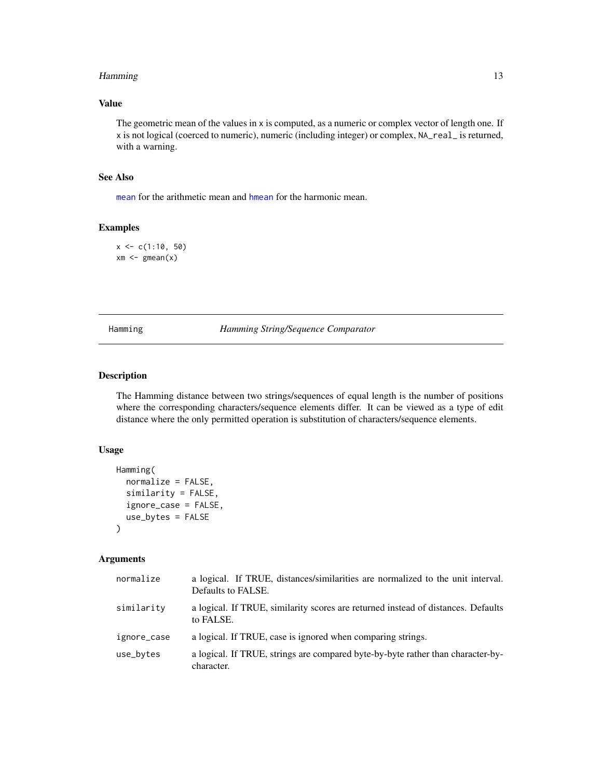#### <span id="page-12-0"></span>Hamming the contract of the contract of the contract of the contract of the contract of the contract of the contract of the contract of the contract of the contract of the contract of the contract of the contract of the co

#### Value

The geometric mean of the values in x is computed, as a numeric or complex vector of length one. If x is not logical (coerced to numeric), numeric (including integer) or complex, NA\_real\_ is returned, with a warning.

#### See Also

[mean](#page-0-0) for the arithmetic mean and [hmean](#page-13-1) for the harmonic mean.

### Examples

 $x \leq c(1:10, 50)$  $xm \leq-gmean(x)$ 

<span id="page-12-1"></span>Hamming *Hamming String/Sequence Comparator*

#### Description

The Hamming distance between two strings/sequences of equal length is the number of positions where the corresponding characters/sequence elements differ. It can be viewed as a type of edit distance where the only permitted operation is substitution of characters/sequence elements.

#### Usage

```
Hamming(
  normalize = FALSE,
  similarity = FALSE,
  ignore_case = FALSE,
  use_bytes = FALSE
)
```
#### Arguments

| normalize   | a logical. If TRUE, distances/similarities are normalized to the unit interval.<br>Defaults to FALSE. |
|-------------|-------------------------------------------------------------------------------------------------------|
| similarity  | a logical. If TRUE, similarity scores are returned instead of distances. Defaults<br>to FALSE.        |
| ignore_case | a logical. If TRUE, case is ignored when comparing strings.                                           |
| use_bytes   | a logical. If TRUE, strings are compared byte-by-byte rather than character-by-<br>character.         |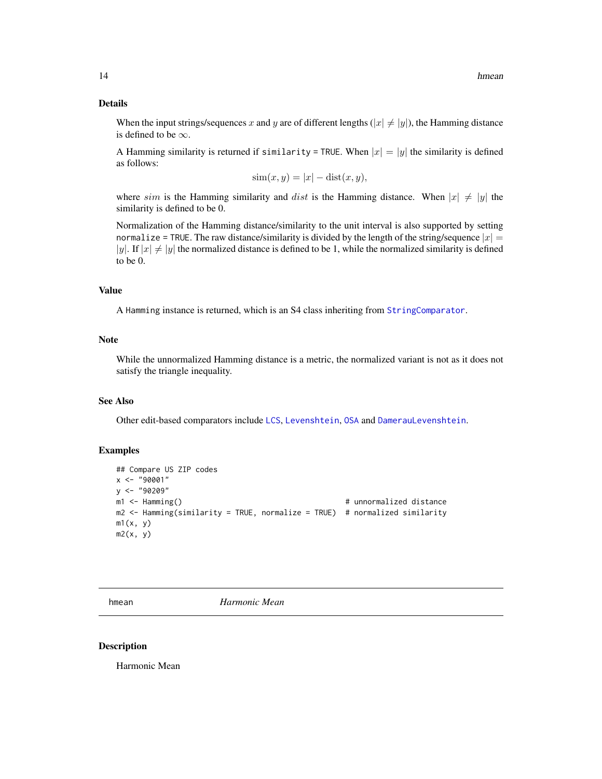#### <span id="page-13-0"></span>Details

When the input strings/sequences x and y are of different lengths  $(|x| \neq |y|)$ , the Hamming distance is defined to be  $\infty$ .

A Hamming similarity is returned if similarity = TRUE. When  $|x| = |y|$  the similarity is defined as follows:

$$
sim(x, y) = |x| - dist(x, y),
$$

where sim is the Hamming similarity and dist is the Hamming distance. When  $|x| \neq |y|$  the similarity is defined to be 0.

Normalization of the Hamming distance/similarity to the unit interval is also supported by setting normalize = TRUE. The raw distance/similarity is divided by the length of the string/sequence  $|x| =$ |y|. If  $|x| \neq |y|$  the normalized distance is defined to be 1, while the normalized similarity is defined to be 0.

#### Value

A Hamming instance is returned, which is an S4 class inheriting from [StringComparator](#page-35-1).

#### Note

While the unnormalized Hamming distance is a metric, the normalized variant is not as it does not satisfy the triangle inequality.

#### See Also

Other edit-based comparators include [LCS](#page-19-1), [Levenshtein](#page-21-1), [OSA](#page-28-2) and [DamerauLevenshtein](#page-4-2).

#### Examples

```
## Compare US ZIP codes
x <- "90001"
y <- "90209"
m1 <- Hamming() \qquad # unnormalized distance
m2 <- Hamming(similarity = TRUE, normalize = TRUE) # normalized similarity
m1(x, y)m2(x, y)
```
<span id="page-13-1"></span>

hmean *Harmonic Mean*

#### Description

Harmonic Mean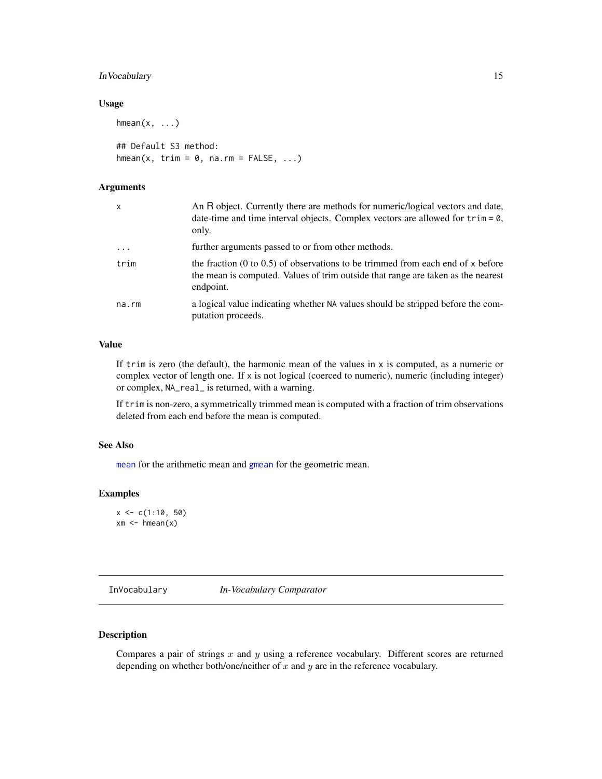#### <span id="page-14-0"></span>InVocabulary 15

#### Usage

 $h$ mean $(x, \ldots)$ 

## Default S3 method:  $h$ mean(x, trim = 0, na.rm = FALSE, ...)

#### Arguments

| x          | An R object. Currently there are methods for numeric/logical vectors and date,<br>date-time and time interval objects. Complex vectors are allowed for $\text{trim} = \emptyset$ ,<br>only. |
|------------|---------------------------------------------------------------------------------------------------------------------------------------------------------------------------------------------|
| $\ddots$ . | further arguments passed to or from other methods.                                                                                                                                          |
| trim       | the fraction $(0 \text{ to } 0.5)$ of observations to be trimmed from each end of x before<br>the mean is computed. Values of trim outside that range are taken as the nearest<br>endpoint. |
| na.rm      | a logical value indicating whether NA values should be stripped before the com-<br>putation proceeds.                                                                                       |

#### Value

If trim is zero (the default), the harmonic mean of the values in x is computed, as a numeric or complex vector of length one. If x is not logical (coerced to numeric), numeric (including integer) or complex, NA\_real\_ is returned, with a warning.

If trim is non-zero, a symmetrically trimmed mean is computed with a fraction of trim observations deleted from each end before the mean is computed.

#### See Also

[mean](#page-0-0) for the arithmetic mean and [gmean](#page-11-1) for the geometric mean.

#### Examples

 $x \leq c(1:10, 50)$  $xm \leq -$  hmean $(x)$ 

<span id="page-14-1"></span>InVocabulary *In-Vocabulary Comparator*

#### Description

Compares a pair of strings  $x$  and  $y$  using a reference vocabulary. Different scores are returned depending on whether both/one/neither of  $x$  and  $y$  are in the reference vocabulary.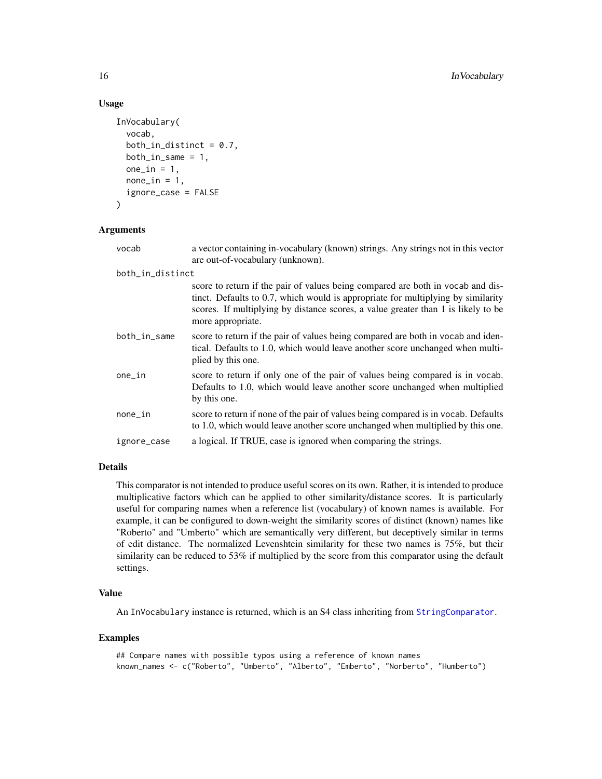#### Usage

```
InVocabulary(
  vocab,
  both_in_distinct = 0.7,
 both_in\_same = 1,
 one_in = 1,
 none_in = 1,ignore_case = FALSE
\lambda
```
#### Arguments

| vocab            | a vector containing in-vocabulary (known) strings. Any strings not in this vector<br>are out-of-vocabulary (unknown).                                                                                                                                                         |
|------------------|-------------------------------------------------------------------------------------------------------------------------------------------------------------------------------------------------------------------------------------------------------------------------------|
| both_in_distinct |                                                                                                                                                                                                                                                                               |
|                  | score to return if the pair of values being compared are both in vocab and dis-<br>tinct. Defaults to 0.7, which would is appropriate for multiplying by similarity<br>scores. If multiplying by distance scores, a value greater than 1 is likely to be<br>more appropriate. |
| both_in_same     | score to return if the pair of values being compared are both in vocab and iden-<br>tical. Defaults to 1.0, which would leave another score unchanged when multi-<br>plied by this one.                                                                                       |
| one_in           | score to return if only one of the pair of values being compared is in vocab.<br>Defaults to 1.0, which would leave another score unchanged when multiplied<br>by this one.                                                                                                   |
| none_in          | score to return if none of the pair of values being compared is in vocab. Defaults<br>to 1.0, which would leave another score unchanged when multiplied by this one.                                                                                                          |
| ignore_case      | a logical. If TRUE, case is ignored when comparing the strings.                                                                                                                                                                                                               |
|                  |                                                                                                                                                                                                                                                                               |

#### Details

This comparator is not intended to produce useful scores on its own. Rather, it is intended to produce multiplicative factors which can be applied to other similarity/distance scores. It is particularly useful for comparing names when a reference list (vocabulary) of known names is available. For example, it can be configured to down-weight the similarity scores of distinct (known) names like "Roberto" and "Umberto" which are semantically very different, but deceptively similar in terms of edit distance. The normalized Levenshtein similarity for these two names is 75%, but their similarity can be reduced to 53% if multiplied by the score from this comparator using the default settings.

#### Value

An InVocabulary instance is returned, which is an S4 class inheriting from [StringComparator](#page-35-1).

#### Examples

```
## Compare names with possible typos using a reference of known names
known_names <- c("Roberto", "Umberto", "Alberto", "Emberto", "Norberto", "Humberto")
```
<span id="page-15-0"></span>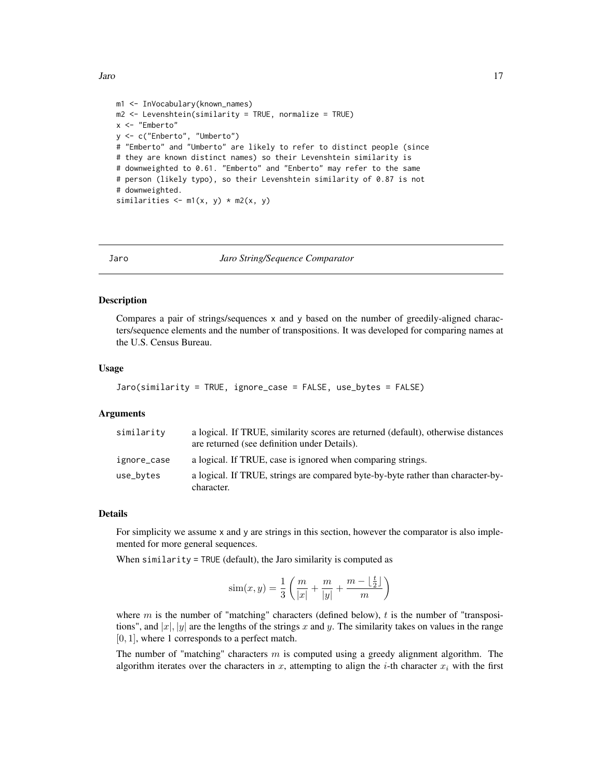```
m1 <- InVocabulary(known_names)
m2 <- Levenshtein(similarity = TRUE, normalize = TRUE)
x <- "Emberto"
y <- c("Enberto", "Umberto")
# "Emberto" and "Umberto" are likely to refer to distinct people (since
# they are known distinct names) so their Levenshtein similarity is
# downweighted to 0.61. "Emberto" and "Enberto" may refer to the same
# person (likely typo), so their Levenshtein similarity of 0.87 is not
# downweighted.
similarities \leq -m1(x, y) \cdot m2(x, y)
```
<span id="page-16-1"></span>

#### Jaro *Jaro String/Sequence Comparator*

#### **Description**

Compares a pair of strings/sequences x and y based on the number of greedily-aligned characters/sequence elements and the number of transpositions. It was developed for comparing names at the U.S. Census Bureau.

#### Usage

```
Jaro(similarity = TRUE, ignore_case = FALSE, use_bytes = FALSE)
```
#### Arguments

| similarity  | a logical. If TRUE, similarity scores are returned (default), otherwise distances<br>are returned (see definition under Details). |
|-------------|-----------------------------------------------------------------------------------------------------------------------------------|
| ignore_case | a logical. If TRUE, case is ignored when comparing strings.                                                                       |
| use_bytes   | a logical. If TRUE, strings are compared byte-by-byte rather than character-by-<br>character.                                     |

#### Details

For simplicity we assume x and y are strings in this section, however the comparator is also implemented for more general sequences.

When similarity = TRUE (default), the Jaro similarity is computed as

$$
sim(x,y) = \frac{1}{3} \left( \frac{m}{|x|} + \frac{m}{|y|} + \frac{m - \lfloor \frac{t}{2} \rfloor}{m} \right)
$$

where  $m$  is the number of "matching" characters (defined below),  $t$  is the number of "transpositions", and  $|x|$ ,  $|y|$  are the lengths of the strings x and y. The similarity takes on values in the range [0, 1], where 1 corresponds to a perfect match.

The number of "matching" characters  $m$  is computed using a greedy alignment algorithm. The algorithm iterates over the characters in x, attempting to align the *i*-th character  $x_i$  with the first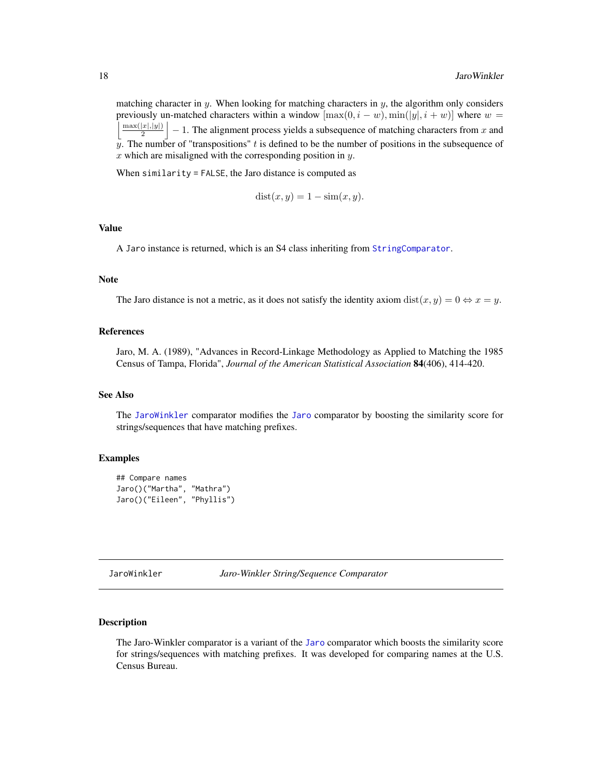<span id="page-17-0"></span>matching character in y. When looking for matching characters in y, the algorithm only considers previously un-matched characters within a window  $[\max(0, i - w), \min(|y|, i + w)]$  where  $w =$  $\max(|x|,|y|)$  $\left|\frac{|x|, |y|}{2}\right| - 1$ . The alignment process yields a subsequence of matching characters from x and y. The number of "transpositions" t is defined to be the number of positions in the subsequence of  $x$  which are misaligned with the corresponding position in  $y$ .

When similarity = FALSE, the Jaro distance is computed as

$$
dist(x, y) = 1 - sim(x, y).
$$

#### Value

A Jaro instance is returned, which is an S4 class inheriting from [StringComparator](#page-35-1).

#### Note

The Jaro distance is not a metric, as it does not satisfy the identity axiom  $dist(x, y) = 0 \Leftrightarrow x = y$ .

#### References

Jaro, M. A. (1989), "Advances in Record-Linkage Methodology as Applied to Matching the 1985 Census of Tampa, Florida", *Journal of the American Statistical Association* 84(406), 414-420.

#### See Also

The [JaroWinkler](#page-17-1) comparator modifies the [Jaro](#page-16-1) comparator by boosting the similarity score for strings/sequences that have matching prefixes.

#### Examples

```
## Compare names
Jaro()("Martha", "Mathra")
Jaro()("Eileen", "Phyllis")
```
<span id="page-17-1"></span>JaroWinkler *Jaro-Winkler String/Sequence Comparator*

#### Description

The Jaro-Winkler comparator is a variant of the [Jaro](#page-16-1) comparator which boosts the similarity score for strings/sequences with matching prefixes. It was developed for comparing names at the U.S. Census Bureau.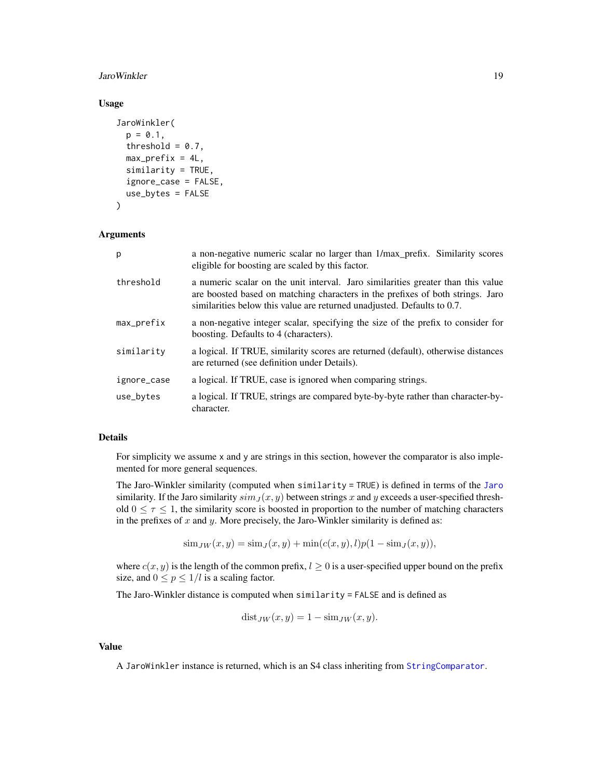#### <span id="page-18-0"></span>JaroWinkler 19

#### Usage

```
JaroWinkler(
 p = 0.1,
  threshold = 0.7,
 max\_prefix = 4L,similarity = TRUE,
  ignore_case = FALSE,
 use_bytes = FALSE
\lambda
```
#### Arguments

| p           | a non-negative numeric scalar no larger than $1/max$ prefix. Similarity scores<br>eligible for boosting are scaled by this factor.                                                                                                            |  |
|-------------|-----------------------------------------------------------------------------------------------------------------------------------------------------------------------------------------------------------------------------------------------|--|
| threshold   | a numeric scalar on the unit interval. Jaro similarities greater than this value<br>are boosted based on matching characters in the prefixes of both strings. Jaro<br>similarities below this value are returned unadjusted. Defaults to 0.7. |  |
| max_prefix  | a non-negative integer scalar, specifying the size of the prefix to consider for<br>boosting. Defaults to 4 (characters).                                                                                                                     |  |
| similarity  | a logical. If TRUE, similarity scores are returned (default), otherwise distances<br>are returned (see definition under Details).                                                                                                             |  |
| ignore_case | a logical. If TRUE, case is ignored when comparing strings.                                                                                                                                                                                   |  |
| use_bytes   | a logical. If TRUE, strings are compared byte-by-byte rather than character-by-<br>character.                                                                                                                                                 |  |

#### Details

For simplicity we assume x and y are strings in this section, however the comparator is also implemented for more general sequences.

The Jaro-Winkler similarity (computed when similarity = TRUE) is defined in terms of the [Jaro](#page-16-1) similarity. If the Jaro similarity  $\sinh_J(x, y)$  between strings x and y exceeds a user-specified threshold  $0 \leq \tau \leq 1$ , the similarity score is boosted in proportion to the number of matching characters in the prefixes of  $x$  and  $y$ . More precisely, the Jaro-Winkler similarity is defined as:

 $\text{sim}_{JW}(x, y) = \text{sim}_{J}(x, y) + \text{min}(c(x, y), l)p(1 - \text{sim}_{J}(x, y)),$ 

where  $c(x, y)$  is the length of the common prefix,  $l \ge 0$  is a user-specified upper bound on the prefix size, and  $0 \le p \le 1/l$  is a scaling factor.

The Jaro-Winkler distance is computed when similarity = FALSE and is defined as

$$
dist_{JW}(x, y) = 1 - sim_{JW}(x, y).
$$

#### Value

A JaroWinkler instance is returned, which is an S4 class inheriting from [StringComparator](#page-35-1).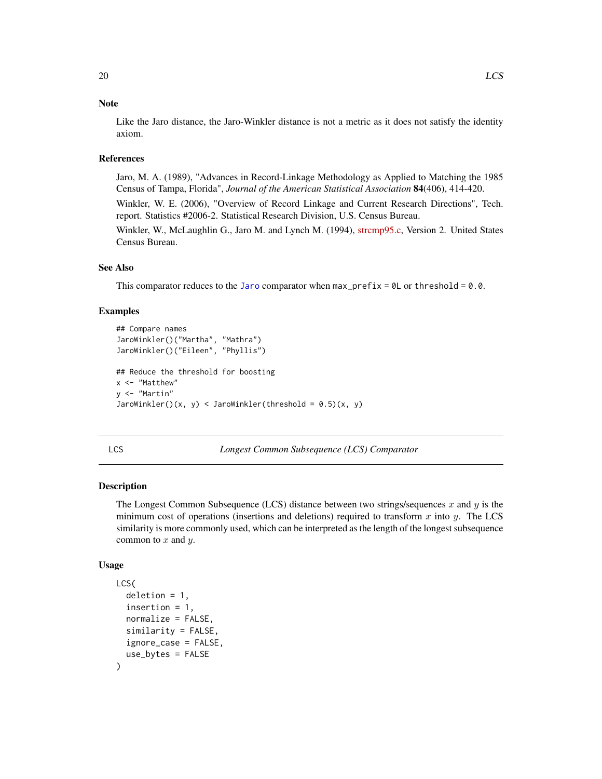#### <span id="page-19-0"></span>**Note**

Like the Jaro distance, the Jaro-Winkler distance is not a metric as it does not satisfy the identity axiom.

#### References

Jaro, M. A. (1989), "Advances in Record-Linkage Methodology as Applied to Matching the 1985 Census of Tampa, Florida", *Journal of the American Statistical Association* 84(406), 414-420.

Winkler, W. E. (2006), "Overview of Record Linkage and Current Research Directions", Tech. report. Statistics #2006-2. Statistical Research Division, U.S. Census Bureau.

Winkler, W., McLaughlin G., Jaro M. and Lynch M. (1994), [strcmp95.c,](https://web.archive.org/web/20100227020019/http://www.census.gov/geo/msb/stand/strcmp.c) Version 2. United States Census Bureau.

#### See Also

This comparator reduces to the [Jaro](#page-16-1) comparator when  $max\_prefix = 0$  or threshold = 0.0.

#### Examples

```
## Compare names
JaroWinkler()("Martha", "Mathra")
JaroWinkler()("Eileen", "Phyllis")
## Reduce the threshold for boosting
x <- "Matthew"
y <- "Martin"
JaroWinkler()(x, y) < JaroWinkler(threshold = 0.5)(x, y)
```
<span id="page-19-1"></span>

| ۰,         |    |
|------------|----|
| . .<br>$-$ | ۰. |

Longest Common Subsequence (LCS) Comparator

#### Description

The Longest Common Subsequence (LCS) distance between two strings/sequences  $x$  and  $y$  is the minimum cost of operations (insertions and deletions) required to transform x into y. The LCS similarity is more commonly used, which can be interpreted as the length of the longest subsequence common to  $x$  and  $y$ .

#### Usage

```
LCS(
  deletion = 1,
  insertion = 1,
  normalize = FALSE,
  similarity = FALSE,
  ignore_case = FALSE,
  use_bytes = FALSE
)
```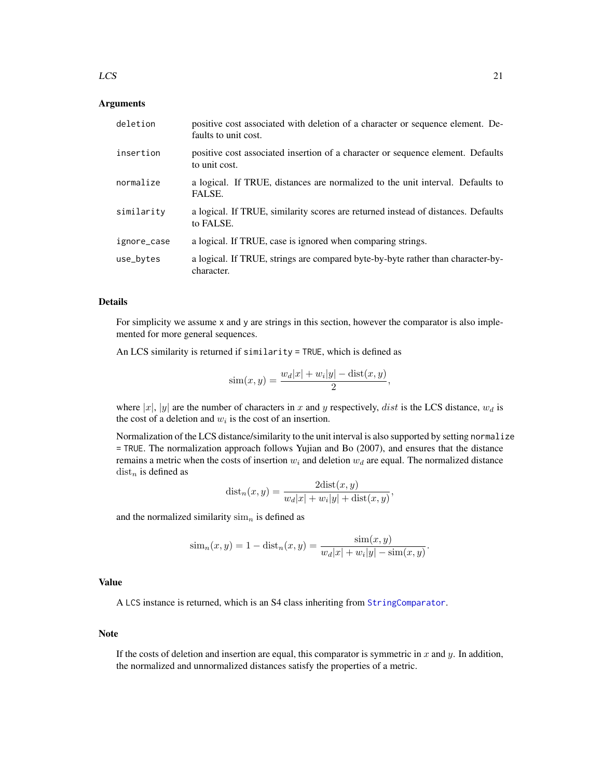#### <span id="page-20-0"></span> $LCS$  21

#### Arguments

| deletion    | positive cost associated with deletion of a character or sequence element. De-<br>faults to unit cost. |
|-------------|--------------------------------------------------------------------------------------------------------|
| insertion   | positive cost associated insertion of a character or sequence element. Defaults<br>to unit cost.       |
| normalize   | a logical. If TRUE, distances are normalized to the unit interval. Defaults to<br>FALSE.               |
| similarity  | a logical. If TRUE, similarity scores are returned instead of distances. Defaults<br>to FALSE.         |
| ignore_case | a logical. If TRUE, case is ignored when comparing strings.                                            |
| use_bytes   | a logical. If TRUE, strings are compared byte-by-byte rather than character-by-<br>character.          |

#### Details

For simplicity we assume x and y are strings in this section, however the comparator is also implemented for more general sequences.

An LCS similarity is returned if similarity = TRUE, which is defined as

$$
\sin(x, y) = \frac{w_d |x| + w_i |y| - \text{dist}(x, y)}{2},
$$

where |x|, |y| are the number of characters in x and y respectively, dist is the LCS distance,  $w_d$  is the cost of a deletion and  $w_i$  is the cost of an insertion.

Normalization of the LCS distance/similarity to the unit interval is also supported by setting normalize = TRUE. The normalization approach follows Yujian and Bo (2007), and ensures that the distance remains a metric when the costs of insertion  $w_i$  and deletion  $w_d$  are equal. The normalized distance  $dist_n$  is defined as

$$
dist_n(x, y) = \frac{2dist(x, y)}{w_d|x| + w_i|y| + dist(x, y)},
$$

and the normalized similarity  $\sin n$  is defined as

$$
\text{sim}_{n}(x, y) = 1 - \text{dist}_{n}(x, y) = \frac{\text{sim}(x, y)}{w_{d}|x| + w_{i}|y| - \text{sim}(x, y)}.
$$

#### Value

A LCS instance is returned, which is an S4 class inheriting from [StringComparator](#page-35-1).

#### Note

If the costs of deletion and insertion are equal, this comparator is symmetric in  $x$  and  $y$ . In addition, the normalized and unnormalized distances satisfy the properties of a metric.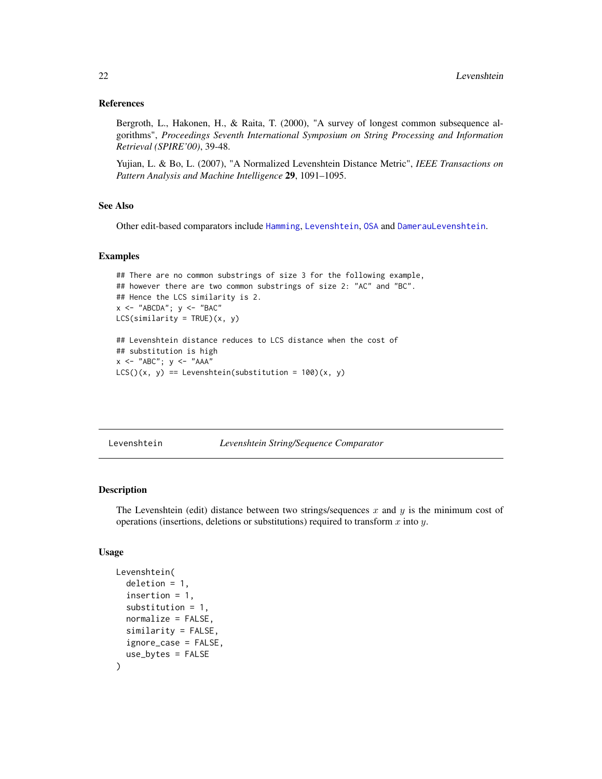#### <span id="page-21-0"></span>References

Bergroth, L., Hakonen, H., & Raita, T. (2000), "A survey of longest common subsequence algorithms", *Proceedings Seventh International Symposium on String Processing and Information Retrieval (SPIRE'00)*, 39-48.

Yujian, L. & Bo, L. (2007), "A Normalized Levenshtein Distance Metric", *IEEE Transactions on Pattern Analysis and Machine Intelligence* 29, 1091–1095.

#### See Also

Other edit-based comparators include [Hamming](#page-12-1), [Levenshtein](#page-21-1), [OSA](#page-28-2) and [DamerauLevenshtein](#page-4-2).

#### Examples

```
## There are no common substrings of size 3 for the following example,
## however there are two common substrings of size 2: "AC" and "BC".
## Hence the LCS similarity is 2.
x \le - "ABCDA"; y \le - "BAC"
LCS(similarity = TRUE)(x, y)
## Levenshtein distance reduces to LCS distance when the cost of
## substitution is high
x \le - "ABC"; y \le - "AAA"
```

```
LCS()(x, y) == Levenshtein(substitution = 100)(x, y)
```
<span id="page-21-1"></span>

|  | Levenshtein |  |
|--|-------------|--|
|  |             |  |

Levenshtein *Levenshtein String/Sequence Comparator*

#### Description

The Levenshtein (edit) distance between two strings/sequences  $x$  and  $y$  is the minimum cost of operations (insertions, deletions or substitutions) required to transform  $x$  into  $y$ .

#### Usage

```
Levenshtein(
  deletion = 1,
  insertion = 1,
  substitution = 1,
  normalize = FALSE,
  similarity = FALSE,
  ignore_case = FALSE,
  use_bytes = FALSE
)
```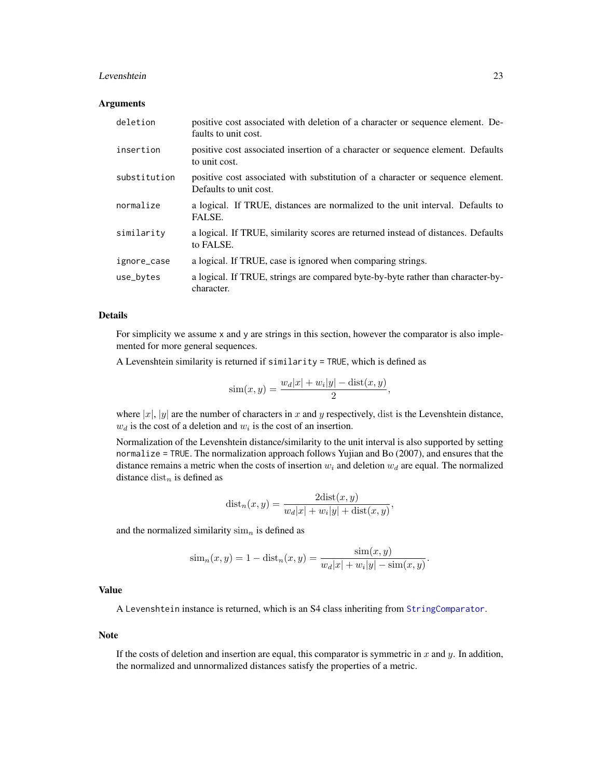#### <span id="page-22-0"></span>Levenshtein 23

#### Arguments

| deletion     | positive cost associated with deletion of a character or sequence element. De-<br>faults to unit cost.   |
|--------------|----------------------------------------------------------------------------------------------------------|
| insertion    | positive cost associated insertion of a character or sequence element. Defaults<br>to unit cost.         |
| substitution | positive cost associated with substitution of a character or sequence element.<br>Defaults to unit cost. |
| normalize    | a logical. If TRUE, distances are normalized to the unit interval. Defaults to<br>FALSE.                 |
| similarity   | a logical. If TRUE, similarity scores are returned instead of distances. Defaults<br>to FALSE.           |
| ignore_case  | a logical. If TRUE, case is ignored when comparing strings.                                              |
| use_bytes    | a logical. If TRUE, strings are compared byte-by-byte rather than character-by-<br>character.            |

#### Details

For simplicity we assume x and y are strings in this section, however the comparator is also implemented for more general sequences.

A Levenshtein similarity is returned if similarity = TRUE, which is defined as

$$
\text{sim}(x, y) = \frac{w_d |x| + w_i |y| - \text{dist}(x, y)}{2},
$$

where  $|x|$ ,  $|y|$  are the number of characters in x and y respectively, dist is the Levenshtein distance,  $w_d$  is the cost of a deletion and  $w_i$  is the cost of an insertion.

Normalization of the Levenshtein distance/similarity to the unit interval is also supported by setting normalize = TRUE. The normalization approach follows Yujian and Bo (2007), and ensures that the distance remains a metric when the costs of insertion  $w_i$  and deletion  $w_d$  are equal. The normalized distance  $dist_n$  is defined as

$$
dist_n(x, y) = \frac{2dist(x, y)}{w_d|x| + w_i|y| + dist(x, y)},
$$

and the normalized similarity  $\sin n$  is defined as

$$
\text{sim}_{n}(x, y) = 1 - \text{dist}_{n}(x, y) = \frac{\text{sim}(x, y)}{w_{d}|x| + w_{i}|y| - \text{sim}(x, y)}.
$$

#### Value

A Levenshtein instance is returned, which is an S4 class inheriting from [StringComparator](#page-35-1).

#### Note

If the costs of deletion and insertion are equal, this comparator is symmetric in  $x$  and  $y$ . In addition, the normalized and unnormalized distances satisfy the properties of a metric.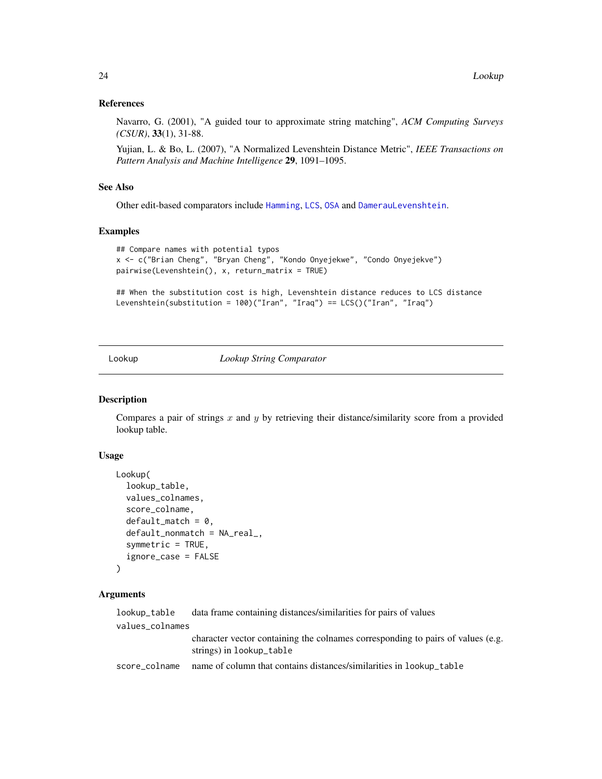#### References

Navarro, G. (2001), "A guided tour to approximate string matching", *ACM Computing Surveys (CSUR)*, 33(1), 31-88.

Yujian, L. & Bo, L. (2007), "A Normalized Levenshtein Distance Metric", *IEEE Transactions on Pattern Analysis and Machine Intelligence* 29, 1091–1095.

#### See Also

Other edit-based comparators include [Hamming](#page-12-1), [LCS](#page-19-1), [OSA](#page-28-2) and [DamerauLevenshtein](#page-4-2).

#### Examples

```
## Compare names with potential typos
x <- c("Brian Cheng", "Bryan Cheng", "Kondo Onyejekwe", "Condo Onyejekve")
pairwise(Levenshtein(), x, return_matrix = TRUE)
```

```
## When the substitution cost is high, Levenshtein distance reduces to LCS distance
Levenshtein(substitution = 100)("Iran", "Iraq") == LCS()("Iran", "Iraq")
```
<span id="page-23-1"></span>Lookup *Lookup String Comparator*

#### **Description**

Compares a pair of strings  $x$  and  $y$  by retrieving their distance/similarity score from a provided lookup table.

#### Usage

```
Lookup(
  lookup_table,
  values_colnames,
  score_colname,
  default_matrix = 0,default_nonmatch = NA_real_,
  symmetric = TRUE,
  ignore_case = FALSE
)
```
#### Arguments

| lookup_table    | data frame containing distances/similarities for pairs of values                                            |
|-----------------|-------------------------------------------------------------------------------------------------------------|
| values_colnames |                                                                                                             |
|                 | character vector containing the colnames corresponding to pairs of values (e.g.<br>strings) in lookup_table |
| score_colname   | name of column that contains distances/similarities in lookup_table                                         |

<span id="page-23-0"></span>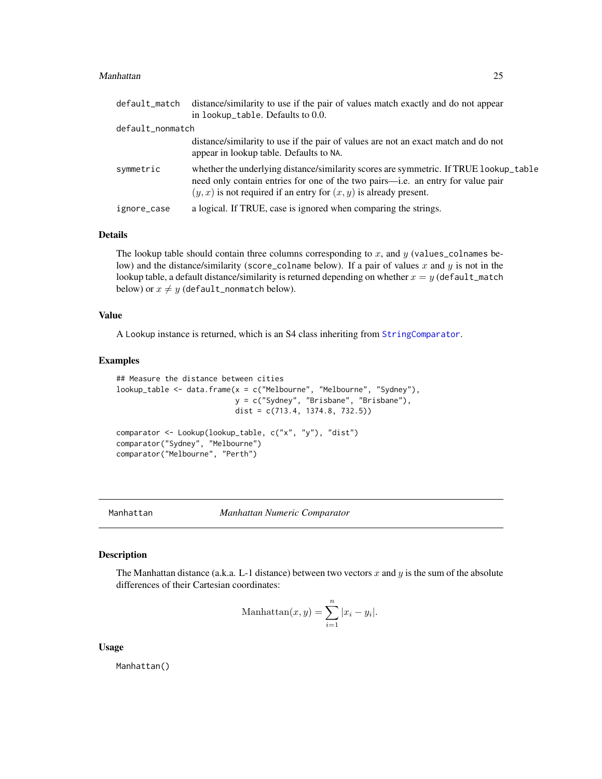#### <span id="page-24-0"></span>Manhattan 25

|                  | default_match distance/similarity to use if the pair of values match exactly and do not appear                                                                                                                                                    |
|------------------|---------------------------------------------------------------------------------------------------------------------------------------------------------------------------------------------------------------------------------------------------|
|                  | in lookup_table. Defaults to 0.0.                                                                                                                                                                                                                 |
| default_nonmatch |                                                                                                                                                                                                                                                   |
|                  | distance/similarity to use if the pair of values are not an exact match and do not<br>appear in lookup table. Defaults to NA.                                                                                                                     |
| symmetric        | whether the underlying distance/similarity scores are symmetric. If TRUE lookup_table<br>need only contain entries for one of the two pairs—i.e. an entry for value pair<br>$(y, x)$ is not required if an entry for $(x, y)$ is already present. |
| ignore_case      | a logical. If TRUE, case is ignored when comparing the strings.                                                                                                                                                                                   |

#### Details

The lookup table should contain three columns corresponding to  $x$ , and  $y$  (values\_colnames below) and the distance/similarity (score\_colname below). If a pair of values x and y is not in the lookup table, a default distance/similarity is returned depending on whether  $x = y$  (default\_match below) or  $x \neq y$  (default\_nonmatch below).

#### Value

A Lookup instance is returned, which is an S4 class inheriting from [StringComparator](#page-35-1).

#### Examples

```
## Measure the distance between cities
lookup_table <- data.frame(x = c("Melbourne", "Melbourne", "Sydney"),
                           y = c("Sydney", "Brisbane", "Brisbane"),
                           dist = c(713.4, 1374.8, 732.5))
comparator <- Lookup(lookup_table, c("x", "y"), "dist")
comparator("Sydney", "Melbourne")
comparator("Melbourne", "Perth")
```
<span id="page-24-1"></span>Manhattan *Manhattan Numeric Comparator*

#### Description

The Manhattan distance (a.k.a. L-1 distance) between two vectors x and y is the sum of the absolute differences of their Cartesian coordinates:

$$
\text{Manhattan}(x, y) = \sum_{i=1}^{n} |x_i - y_i|.
$$

Usage

Manhattan()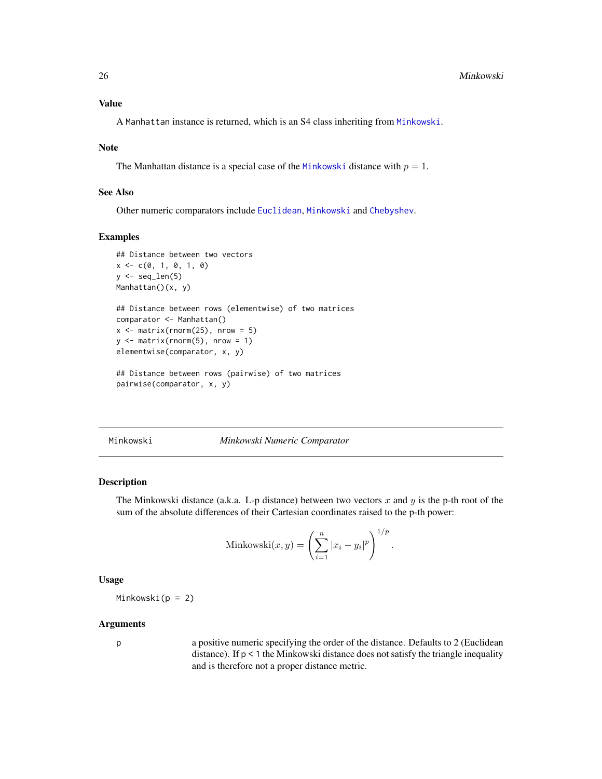<span id="page-25-0"></span>A Manhattan instance is returned, which is an S4 class inheriting from [Minkowski](#page-25-1).

#### Note

The Manhattan distance is a special case of the [Minkowski](#page-25-1) distance with  $p = 1$ .

#### See Also

Other numeric comparators include [Euclidean](#page-8-1), [Minkowski](#page-25-1) and [Chebyshev](#page-2-1).

#### Examples

```
## Distance between two vectors
x \leq -c(0, 1, 0, 1, 0)y \leftarrow \text{seq\_len}(5)Manhattan()(x, y)
## Distance between rows (elementwise) of two matrices
comparator <- Manhattan()
x \le - matrix(rnorm(25), nrow = 5)
y \le - matrix(rnorm(5), nrow = 1)
elementwise(comparator, x, y)
## Distance between rows (pairwise) of two matrices
pairwise(comparator, x, y)
```
<span id="page-25-1"></span>Minkowski *Minkowski Numeric Comparator*

#### Description

The Minkowski distance (a.k.a. L-p distance) between two vectors x and y is the p-th root of the sum of the absolute differences of their Cartesian coordinates raised to the p-th power:

$$
\text{Minkowski}(x, y) = \left(\sum_{i=1}^{n} |x_i - y_i|^p\right)^{1/p}.
$$

#### Usage

Minkowski( $p = 2$ )

#### Arguments

p a positive numeric specifying the order of the distance. Defaults to 2 (Euclidean distance). If p < 1 the Minkowski distance does not satisfy the triangle inequality and is therefore not a proper distance metric.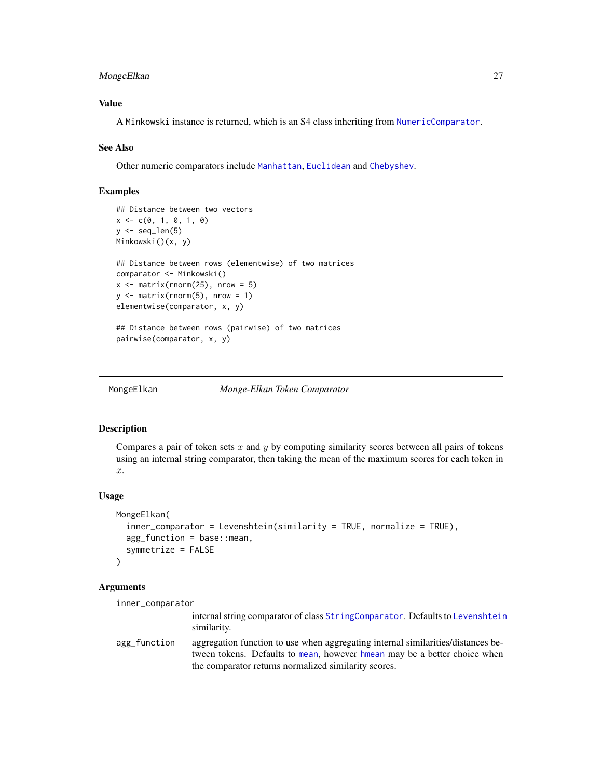#### <span id="page-26-0"></span>MongeElkan 27

#### Value

A Minkowski instance is returned, which is an S4 class inheriting from [NumericComparator](#page-28-1).

#### See Also

Other numeric comparators include [Manhattan](#page-24-1), [Euclidean](#page-8-1) and [Chebyshev](#page-2-1).

#### Examples

```
## Distance between two vectors
x \leq -c(0, 1, 0, 1, 0)y \leftarrow \text{seq\_len}(5)Minkowski()(x, y)
## Distance between rows (elementwise) of two matrices
comparator <- Minkowski()
x \le matrix(rnorm(25), nrow = 5)
y \le - matrix(rnorm(5), nrow = 1)
elementwise(comparator, x, y)
## Distance between rows (pairwise) of two matrices
pairwise(comparator, x, y)
```
<span id="page-26-1"></span>

MongeElkan *Monge-Elkan Token Comparator*

#### **Description**

Compares a pair of token sets  $x$  and  $y$  by computing similarity scores between all pairs of tokens using an internal string comparator, then taking the mean of the maximum scores for each token in  $\hat{x}$ .

#### Usage

```
MongeElkan(
  inner_comparator = Levenshtein(similarity = TRUE, normalize = TRUE),
  agg_function = base::mean,
  symmetrize = FALSE
)
```
#### Arguments

inner\_comparator

internal string comparator of class [StringComparator](#page-35-1). Defaults to [Levenshtein](#page-21-1) similarity.

agg\_function aggregation function to use when aggregating internal similarities/distances between tokens. Defaults to [mean](#page-0-0), however [hmean](#page-13-1) may be a better choice when the comparator returns normalized similarity scores.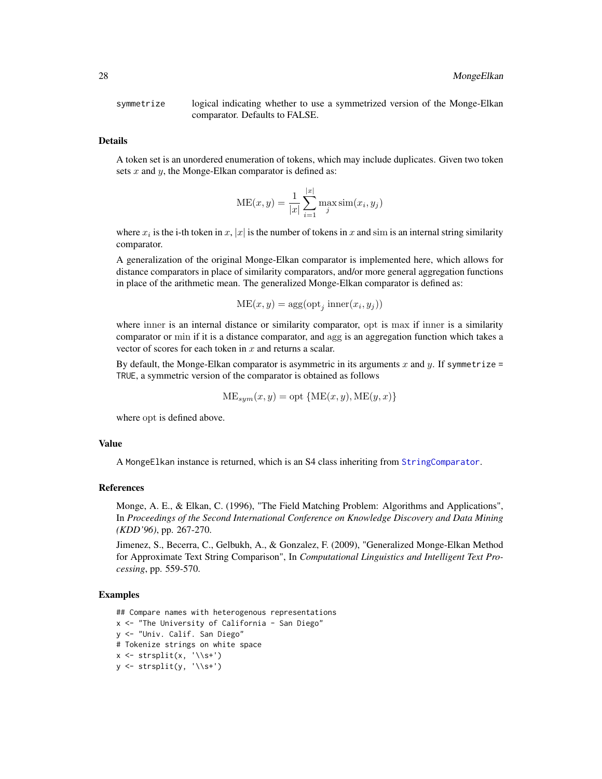<span id="page-27-0"></span>symmetrize logical indicating whether to use a symmetrized version of the Monge-Elkan comparator. Defaults to FALSE.

#### Details

A token set is an unordered enumeration of tokens, which may include duplicates. Given two token sets x and y, the Monge-Elkan comparator is defined as:

$$
ME(x, y) = \frac{1}{|x|} \sum_{i=1}^{|x|} \max_{j} \text{sim}(x_i, y_j)
$$

where  $x_i$  is the i-th token in  $x$ ,  $|x|$  is the number of tokens in  $x$  and sim is an internal string similarity comparator.

A generalization of the original Monge-Elkan comparator is implemented here, which allows for distance comparators in place of similarity comparators, and/or more general aggregation functions in place of the arithmetic mean. The generalized Monge-Elkan comparator is defined as:

$$
ME(x, y) = \arg(\text{opt}_j \text{ inner}(x_i, y_j))
$$

where inner is an internal distance or similarity comparator, opt is max if inner is a similarity comparator or min if it is a distance comparator, and agg is an aggregation function which takes a vector of scores for each token in  $x$  and returns a scalar.

By default, the Monge-Elkan comparator is asymmetric in its arguments x and y. If symmetrize = TRUE, a symmetric version of the comparator is obtained as follows

$$
ME_{sym}(x, y) = opt \{ME(x, y), ME(y, x)\}
$$

where opt is defined above.

#### Value

A MongeElkan instance is returned, which is an S4 class inheriting from [StringComparator](#page-35-1).

#### References

Monge, A. E., & Elkan, C. (1996), "The Field Matching Problem: Algorithms and Applications", In *Proceedings of the Second International Conference on Knowledge Discovery and Data Mining (KDD'96)*, pp. 267-270.

Jimenez, S., Becerra, C., Gelbukh, A., & Gonzalez, F. (2009), "Generalized Monge-Elkan Method for Approximate Text String Comparison", In *Computational Linguistics and Intelligent Text Processing*, pp. 559-570.

#### Examples

```
## Compare names with heterogenous representations
x <- "The University of California - San Diego"
y <- "Univ. Calif. San Diego"
# Tokenize strings on white space
x \leftarrow \text{strsplit}(x, ' \setminus s^+)y \leftarrow \text{strsplit}(y, \sqrt{\s+1})
```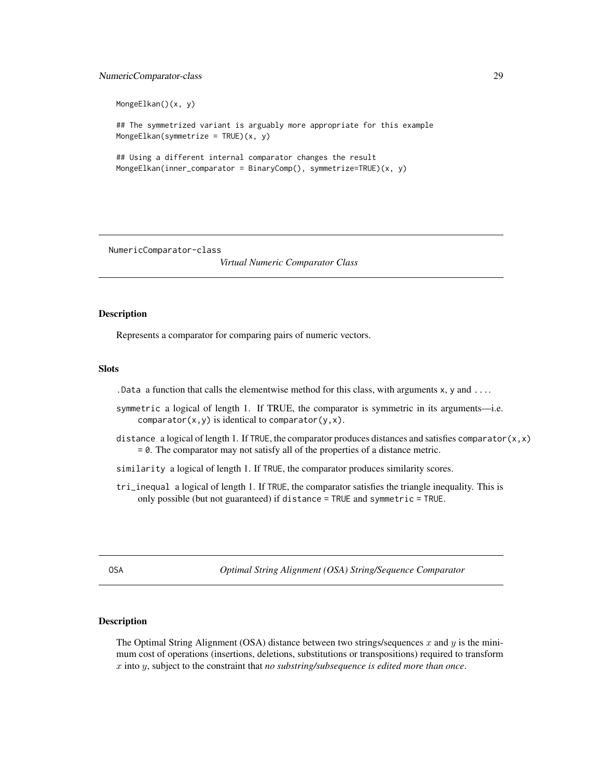#### <span id="page-28-0"></span>NumericComparator-class 29

```
MongeElkan()(x, y)
## The symmetrized variant is arguably more appropriate for this example
MongeElkan(symmetrize = TRUE)(x, y)
## Using a different internal comparator changes the result
MongeElkan(inner_comparator = BinaryComp(), symmetrize=TRUE)(x, y)
```
<span id="page-28-1"></span>NumericComparator-class

*Virtual Numeric Comparator Class*

#### Description

Represents a comparator for comparing pairs of numeric vectors.

#### Slots

. Data a function that calls the elementwise method for this class, with arguments  $x$ ,  $y$  and  $\dots$ 

- symmetric a logical of length 1. If TRUE, the comparator is symmetric in its arguments—i.e.  $comparator(x, y)$  is identical to comparator(y, x).
- distance a logical of length 1. If TRUE, the comparator produces distances and satisfies comparator $(x, x)$ = 0. The comparator may not satisfy all of the properties of a distance metric.
- similarity a logical of length 1. If TRUE, the comparator produces similarity scores.
- tri\_inequal a logical of length 1. If TRUE, the comparator satisfies the triangle inequality. This is only possible (but not guaranteed) if distance = TRUE and symmetric = TRUE.

<span id="page-28-2"></span>OSA *Optimal String Alignment (OSA) String/Sequence Comparator*

#### Description

The Optimal String Alignment (OSA) distance between two strings/sequences x and y is the minimum cost of operations (insertions, deletions, substitutions or transpositions) required to transform x into y, subject to the constraint that *no substring/subsequence is edited more than once*.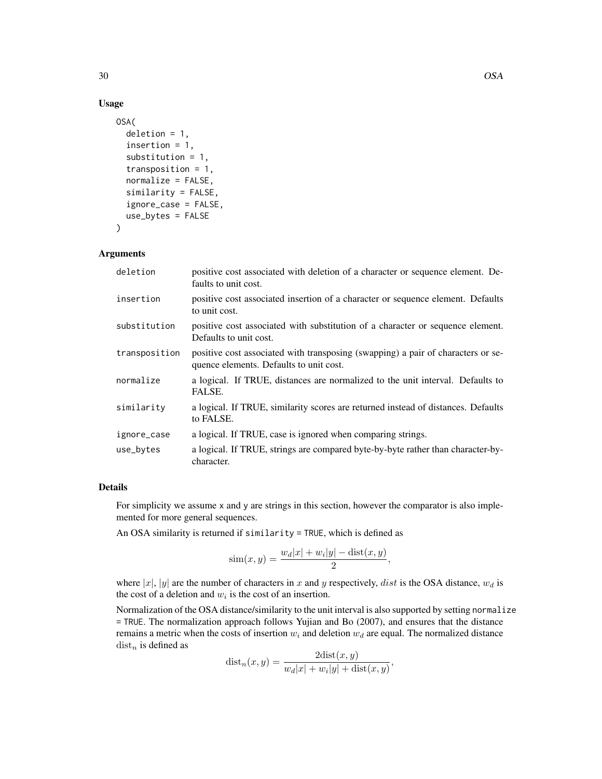#### Usage

```
OSA(
  deletion = 1,
  insertion = 1,
  substitution = 1,
  transposition = 1,
  normalize = FALSE,
  similarity = FALSE,
  ignore_case = FALSE,
  use_bytes = FALSE
)
```
#### Arguments

| deletion      | positive cost associated with deletion of a character or sequence element. De-<br>faults to unit cost.                      |
|---------------|-----------------------------------------------------------------------------------------------------------------------------|
| insertion     | positive cost associated insertion of a character or sequence element. Defaults<br>to unit cost.                            |
| substitution  | positive cost associated with substitution of a character or sequence element.<br>Defaults to unit cost.                    |
| transposition | positive cost associated with transposing (swapping) a pair of characters or se-<br>quence elements. Defaults to unit cost. |
| normalize     | a logical. If TRUE, distances are normalized to the unit interval. Defaults to<br>FALSE.                                    |
| similarity    | a logical. If TRUE, similarity scores are returned instead of distances. Defaults<br>to FALSE.                              |
| ignore_case   | a logical. If TRUE, case is ignored when comparing strings.                                                                 |
| use_bytes     | a logical. If TRUE, strings are compared byte-by-byte rather than character-by-<br>character.                               |

#### Details

For simplicity we assume x and y are strings in this section, however the comparator is also implemented for more general sequences.

An OSA similarity is returned if similarity = TRUE, which is defined as

$$
\sin(x, y) = \frac{w_d |x| + w_i |y| - \text{dist}(x, y)}{2},
$$

where |x|, |y| are the number of characters in x and y respectively, dist is the OSA distance,  $w_d$  is the cost of a deletion and  $w_i$  is the cost of an insertion.

Normalization of the OSA distance/similarity to the unit interval is also supported by setting normalize = TRUE. The normalization approach follows Yujian and Bo (2007), and ensures that the distance remains a metric when the costs of insertion  $w_i$  and deletion  $w_d$  are equal. The normalized distance  $dist_n$  is defined as

$$
dist_n(x, y) = \frac{2dist(x, y)}{w_d|x| + w_i|y| + dist(x, y)},
$$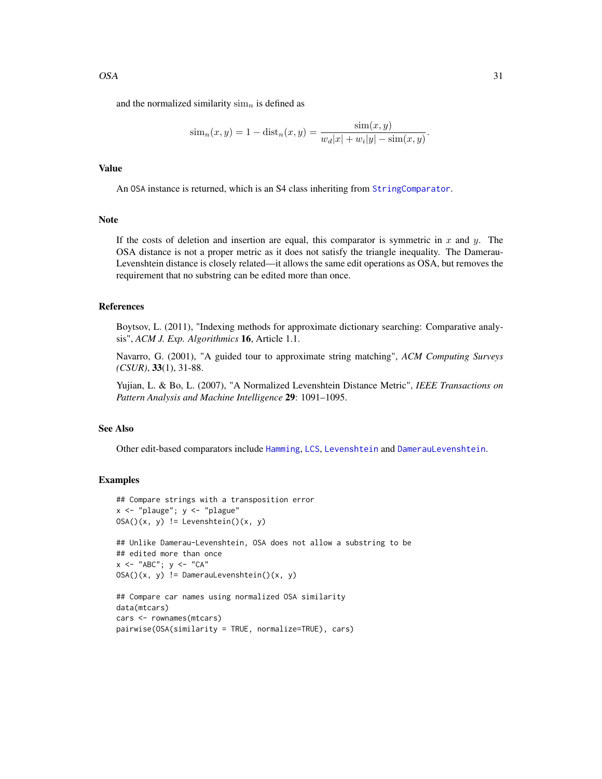<span id="page-30-0"></span>and the normalized similarity  $\lim_{n}$  is defined as

$$
\text{sim}_{n}(x, y) = 1 - \text{dist}_{n}(x, y) = \frac{\text{sim}(x, y)}{w_{d}|x| + w_{i}|y| - \text{sim}(x, y)}.
$$

#### Value

An OSA instance is returned, which is an S4 class inheriting from [StringComparator](#page-35-1).

#### Note

If the costs of deletion and insertion are equal, this comparator is symmetric in x and y. The OSA distance is not a proper metric as it does not satisfy the triangle inequality. The Damerau-Levenshtein distance is closely related—it allows the same edit operations as OSA, but removes the requirement that no substring can be edited more than once.

#### References

Boytsov, L. (2011), "Indexing methods for approximate dictionary searching: Comparative analysis", *ACM J. Exp. Algorithmics* 16, Article 1.1.

Navarro, G. (2001), "A guided tour to approximate string matching", *ACM Computing Surveys (CSUR)*, 33(1), 31-88.

Yujian, L. & Bo, L. (2007), "A Normalized Levenshtein Distance Metric", *IEEE Transactions on Pattern Analysis and Machine Intelligence* 29: 1091–1095.

#### See Also

Other edit-based comparators include [Hamming](#page-12-1), [LCS](#page-19-1), [Levenshtein](#page-21-1) and [DamerauLevenshtein](#page-4-2).

#### Examples

```
## Compare strings with a transposition error
x \leftarrow "plauge"; y \leftarrow "plague"
OSA()(x, y) != Levenshtein()(x, y)
## Unlike Damerau-Levenshtein, OSA does not allow a substring to be
## edited more than once
x \le - "ABC"; y \le - "CA"
OSA() (x, y) != DamerauLevenshtein()(x, y)
## Compare car names using normalized OSA similarity
data(mtcars)
```

```
cars <- rownames(mtcars)
pairwise(OSA(similarity = TRUE, normalize=TRUE), cars)
```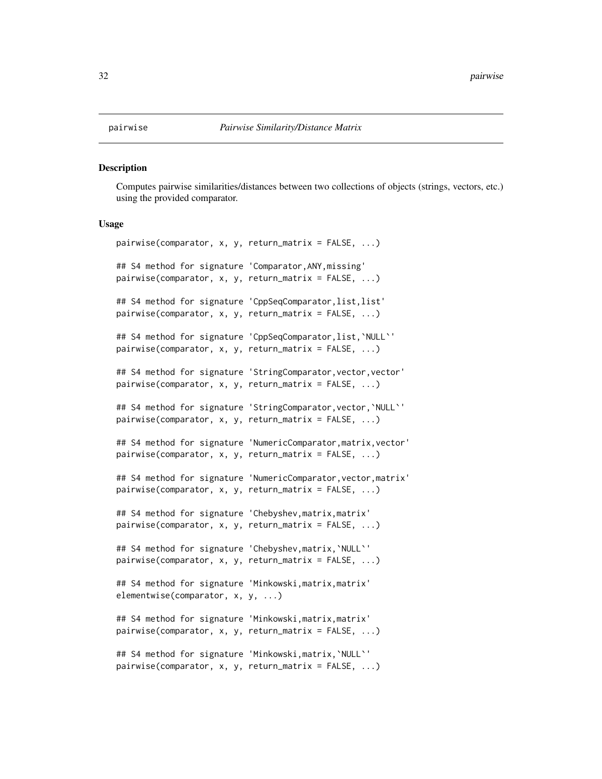#### <span id="page-31-0"></span>Description

Computes pairwise similarities/distances between two collections of objects (strings, vectors, etc.) using the provided comparator.

#### Usage

```
pairwise(comparator, x, y, return_matrix = FALSE, ...)
## S4 method for signature 'Comparator,ANY,missing'
pairwise(comparator, x, y, return_matrix = FALSE, ...)
## S4 method for signature 'CppSeqComparator, list, list'
pairwise(comparator, x, y, return_matrix = FALSE, ...)
## S4 method for signature 'CppSeqComparator,list,`NULL`'
pairwise(comparator, x, y, return_matrix = FALSE, ...)
## S4 method for signature 'StringComparator, vector, vector'
pairwise(comparator, x, y, return_matrix = FALSE, ...)
## S4 method for signature 'StringComparator, vector, `NULL`'
pairwise(comparator, x, y, return_matrix = FALSE, ...)
## S4 method for signature 'NumericComparator, matrix, vector'
pairwise(comparator, x, y, return_matrix = FALSE, ...)
## S4 method for signature 'NumericComparator,vector,matrix'
pairwise(comparator, x, y, return_matrix = FALSE, ...)
## S4 method for signature 'Chebyshev, matrix, matrix'
pairwise(comparator, x, y, return_matrix = FALSE, ...)
## S4 method for signature 'Chebyshev,matrix,`NULL`'
pairwise(comparator, x, y, return_matrix = FALSE, ...)
## S4 method for signature 'Minkowski,matrix,matrix'
elementwise(comparator, x, y, ...)
## S4 method for signature 'Minkowski, matrix, matrix'
pairwise(comparator, x, y, return_matrix = FALSE, ...)
## S4 method for signature 'Minkowski,matrix,`NULL`'
pairwise(comparator, x, y, return_matrix = FALSE, ...)
```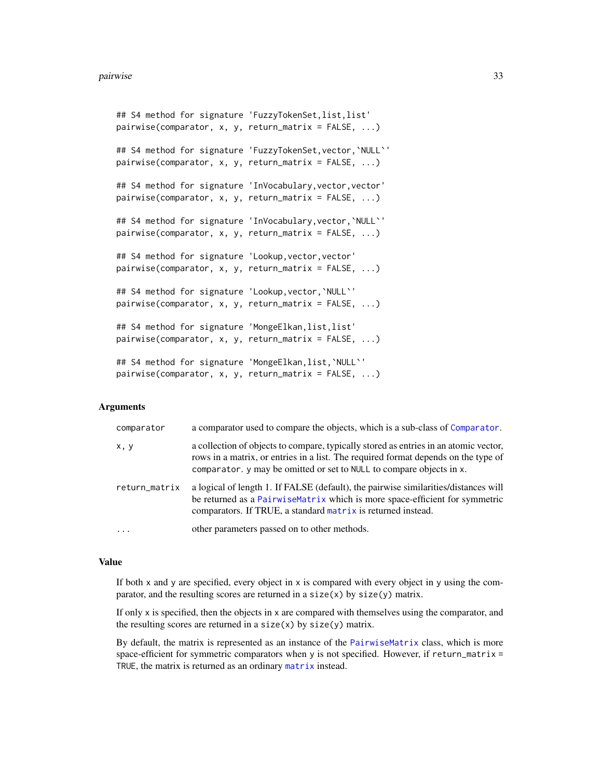```
## S4 method for signature 'FuzzyTokenSet, list, list'
pairwise(comparator, x, y, return_matrix = FALSE, ...)
## S4 method for signature 'FuzzyTokenSet, vector, `NULL`'
pairwise(comparator, x, y, return_matrix = FALSE, ...)
## S4 method for signature 'InVocabulary, vector, vector'
pairwise(comparator, x, y, return_matrix = FALSE, ...)
## S4 method for signature 'InVocabulary, vector, `NULL`'
pairwise(comparator, x, y, return_matrix = FALSE, ...)
## S4 method for signature 'Lookup, vector, vector'
pairwise(comparator, x, y, return_matrix = FALSE, ...)
## S4 method for signature 'Lookup, vector, `NULL`'
pairwise(comparator, x, y, return_matrix = FALSE, ...)
## S4 method for signature 'MongeElkan,list,list'
pairwise(comparator, x, y, return_matrix = FALSE, ...)
## S4 method for signature 'MongeElkan,list,`NULL`'
pairwise(comparator, x, y, return_matrix = FALSE, ...)
```
#### Arguments

| comparator    | a comparator used to compare the objects, which is a sub-class of Comparator.                                                                                                                                                                      |
|---------------|----------------------------------------------------------------------------------------------------------------------------------------------------------------------------------------------------------------------------------------------------|
| x, y          | a collection of objects to compare, typically stored as entries in an atomic vector,<br>rows in a matrix, or entries in a list. The required format depends on the type of<br>comparator. y may be omitted or set to NULL to compare objects in x. |
| return_matrix | a logical of length 1. If FALSE (default), the pairwise similarities/distances will<br>be returned as a PairwiseMatrix which is more space-efficient for symmetric<br>comparators. If TRUE, a standard matrix is returned instead.                 |
|               | other parameters passed on to other methods.                                                                                                                                                                                                       |

#### Value

If both  $x$  and  $y$  are specified, every object in  $x$  is compared with every object in  $y$  using the comparator, and the resulting scores are returned in a  $size(x)$  by  $size(y)$  matrix.

If only x is specified, then the objects in x are compared with themselves using the comparator, and the resulting scores are returned in a size $(x)$  by size $(y)$  matrix.

By default, the matrix is represented as an instance of the [PairwiseMatrix](#page-34-1) class, which is more space-efficient for symmetric comparators when y is not specified. However, if return\_matrix = TRUE, the matrix is returned as an ordinary [matrix](#page-0-0) instead.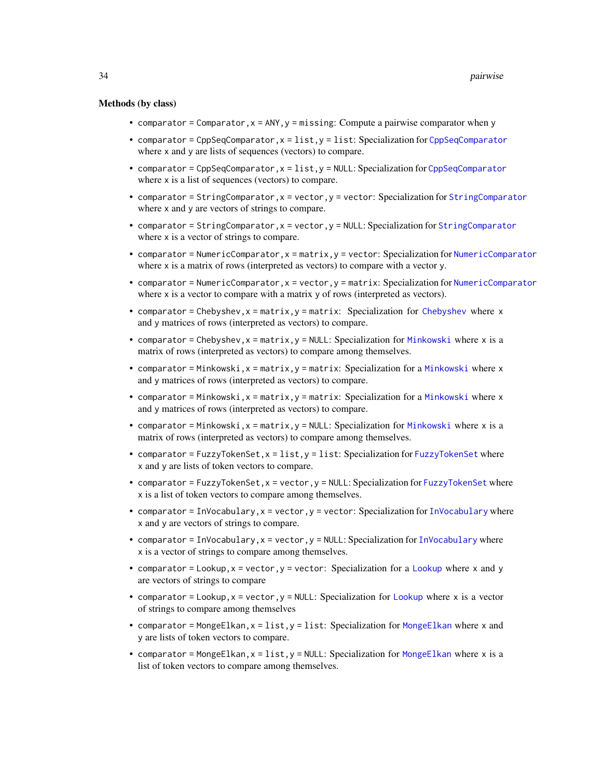#### <span id="page-33-0"></span>Methods (by class)

- comparator = Comparator,  $x = \text{ANY}$ ,  $y = \text{missing}$ : Compute a pairwise comparator when y
- comparator = [CppSeqComparator](#page-4-1), $x = 1$ ist, $y = 1$ ist: Specialization for CppSeqComparator where x and y are lists of sequences (vectors) to compare.
- comparator = CppSeqComparator,x = list,y = NULL: Specialization for [CppSeqComparator](#page-4-1) where x is a list of sequences (vectors) to compare.
- comparator = [StringComparator](#page-35-1), x = vector, y = vector: Specialization for StringComparator where x and y are vectors of strings to compare.
- comparator = [StringComparator](#page-35-1), x = vector, y = NULL: Specialization for StringComparator where x is a vector of strings to compare.
- comparator = NumericComparator,x = matrix,y = vector: Specialization for [NumericComparator](#page-28-1) where x is a matrix of rows (interpreted as vectors) to compare with a vector y.
- comparator = NumericComparator,x = vector,y = matrix: Specialization for [NumericComparator](#page-28-1) where  $x$  is a vector to compare with a matrix  $y$  of rows (interpreted as vectors).
- comparator = [Chebyshev](#page-2-1),  $x =$  matrix,  $y =$  matrix: Specialization for Chebyshev where  $x$ and y matrices of rows (interpreted as vectors) to compare.
- comparator = Chebyshev,  $x = matrix$ ,  $y = NULL$ : Specialization for [Minkowski](#page-25-1) where x is a matrix of rows (interpreted as vectors) to compare among themselves.
- comparator = [Minkowski](#page-25-1), $x = matrix, y = matrix: Specialization for a Minkowski where  $x$$ and y matrices of rows (interpreted as vectors) to compare.
- comparator = [Minkowski](#page-25-1),  $x =$  matrix,  $y =$  matrix: Specialization for a Minkowski where  $x$ and y matrices of rows (interpreted as vectors) to compare.
- comparator = [Minkowski](#page-25-1),  $x = matrix$ ,  $y = NULL$ : Specialization for Minkowski where x is a matrix of rows (interpreted as vectors) to compare among themselves.
- comparator = [FuzzyTokenSet](#page-9-1),  $x = list$ ,  $y = list$ : Specialization for FuzzyTokenSet where x and y are lists of token vectors to compare.
- comparator = [FuzzyTokenSet](#page-9-1), x = vector, y = NULL: Specialization for FuzzyTokenSet where x is a list of token vectors to compare among themselves.
- comparator = [InVocabulary](#page-14-1),  $x =$  vector,  $y =$  vector: Specialization for InVocabulary where x and y are vectors of strings to compare.
- comparator = [InVocabulary](#page-14-1),  $x =$  vector,  $y =$  NULL: Specialization for InVocabulary where x is a vector of strings to compare among themselves.
- comparator = [Lookup](#page-23-1),  $x =$  vector,  $y =$  vector: Specialization for a Lookup where  $x$  and  $y$ are vectors of strings to compare
- comparator = [Lookup](#page-23-1),  $x =$  vector,  $y =$  NULL: Specialization for Lookup where x is a vector of strings to compare among themselves
- comparator = [MongeElkan](#page-26-1),  $x =$  list,  $y =$  list: Specialization for MongeElkan where x and y are lists of token vectors to compare.
- comparator = [MongeElkan](#page-26-1), $x = list$ ,  $y = NULL$ : Specialization for MongeElkan where x is a list of token vectors to compare among themselves.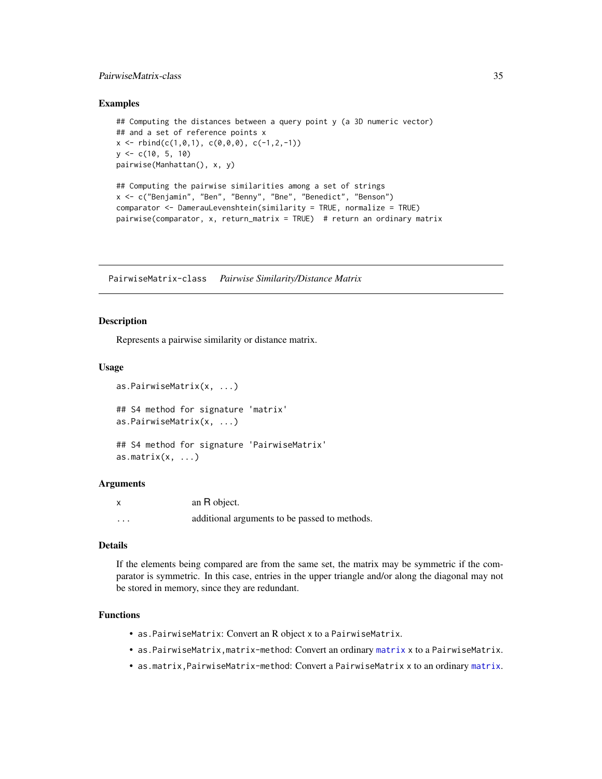#### <span id="page-34-0"></span>PairwiseMatrix-class 35

#### Examples

```
## Computing the distances between a query point y (a 3D numeric vector)
## and a set of reference points x
x \le - rbind(c(1,0,1), c(0,0,0), c(-1,2,-1))
y \leq c(10, 5, 10)pairwise(Manhattan(), x, y)
## Computing the pairwise similarities among a set of strings
x <- c("Benjamin", "Ben", "Benny", "Bne", "Benedict", "Benson")
comparator <- DamerauLevenshtein(similarity = TRUE, normalize = TRUE)
pairwise(comparator, x, return_matrix = TRUE) # return an ordinary matrix
```
<span id="page-34-1"></span>PairwiseMatrix-class *Pairwise Similarity/Distance Matrix*

#### **Description**

Represents a pairwise similarity or distance matrix.

#### Usage

```
as.PairwiseMatrix(x, ...)
## S4 method for signature 'matrix'
as.PairwiseMatrix(x, ...)
## S4 method for signature 'PairwiseMatrix'
as.matrix(x, \ldots)
```
#### Arguments

|          | an R object.                                  |
|----------|-----------------------------------------------|
| $\cdots$ | additional arguments to be passed to methods. |

#### Details

If the elements being compared are from the same set, the matrix may be symmetric if the comparator is symmetric. In this case, entries in the upper triangle and/or along the diagonal may not be stored in memory, since they are redundant.

#### Functions

- as.PairwiseMatrix: Convert an R object x to a PairwiseMatrix.
- as.PairwiseMatrix,matrix-method: Convert an ordinary [matrix](#page-0-0) x to a PairwiseMatrix.
- as.matrix,PairwiseMatrix-method: Convert a PairwiseMatrix x to an ordinary [matrix](#page-0-0).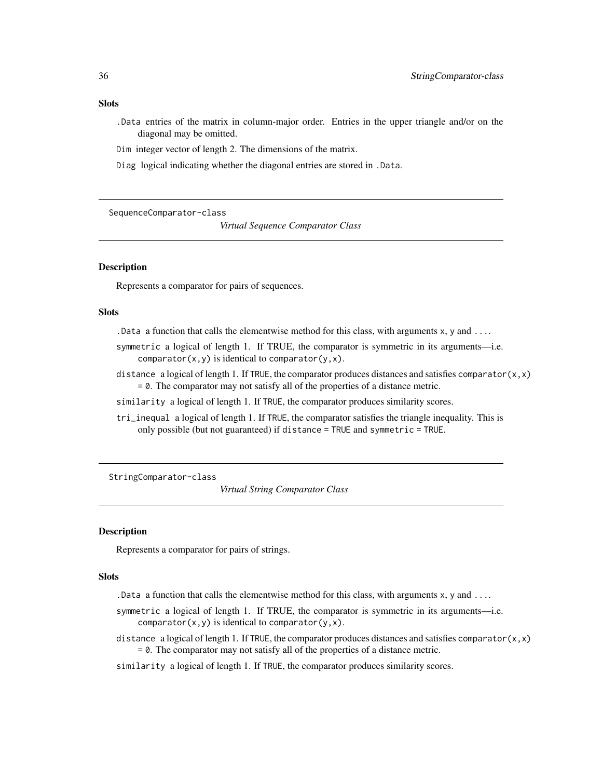#### <span id="page-35-0"></span>Slots

- .Data entries of the matrix in column-major order. Entries in the upper triangle and/or on the diagonal may be omitted.
- Dim integer vector of length 2. The dimensions of the matrix.
- Diag logical indicating whether the diagonal entries are stored in .Data.

SequenceComparator-class

*Virtual Sequence Comparator Class*

#### Description

Represents a comparator for pairs of sequences.

#### Slots

- . Data a function that calls the elementwise method for this class, with arguments  $x$ ,  $y$  and  $\dots$
- symmetric a logical of length 1. If TRUE, the comparator is symmetric in its arguments—i.e. comparator $(x,y)$  is identical to comparator $(y,x)$ .
- distance a logical of length 1. If TRUE, the comparator produces distances and satisfies comparator $(x, x)$ = 0. The comparator may not satisfy all of the properties of a distance metric.
- similarity a logical of length 1. If TRUE, the comparator produces similarity scores.
- tri\_inequal a logical of length 1. If TRUE, the comparator satisfies the triangle inequality. This is only possible (but not guaranteed) if distance = TRUE and symmetric = TRUE.

<span id="page-35-1"></span>StringComparator-class

*Virtual String Comparator Class*

#### Description

Represents a comparator for pairs of strings.

#### Slots

- .Data a function that calls the elementwise method for this class, with arguments  $x$ ,  $y$  and  $\dots$
- symmetric a logical of length 1. If TRUE, the comparator is symmetric in its arguments—i.e. comparator $(x, y)$  is identical to comparator $(y, x)$ .
- distance a logical of length 1. If TRUE, the comparator produces distances and satisfies comparator $(x, x)$ = 0. The comparator may not satisfy all of the properties of a distance metric.
- similarity a logical of length 1. If TRUE, the comparator produces similarity scores.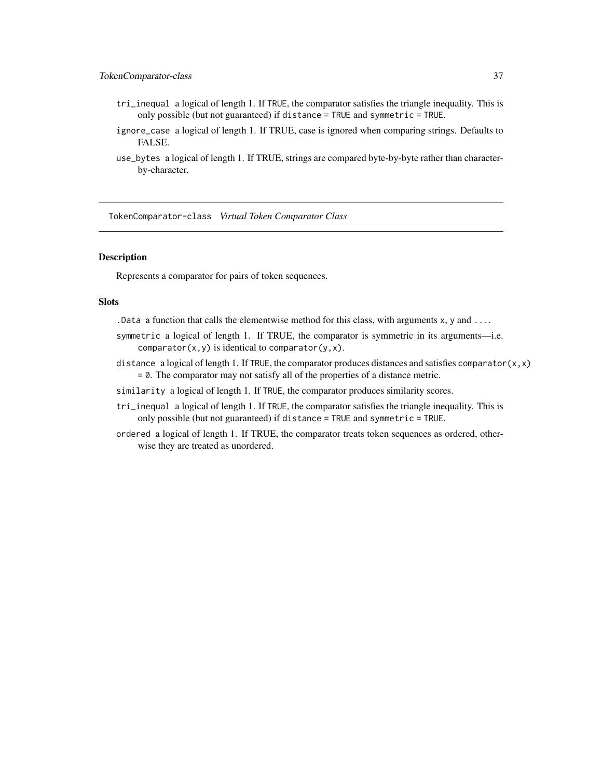#### <span id="page-36-0"></span>TokenComparator-class 37

- tri\_inequal a logical of length 1. If TRUE, the comparator satisfies the triangle inequality. This is only possible (but not guaranteed) if distance = TRUE and symmetric = TRUE.
- ignore\_case a logical of length 1. If TRUE, case is ignored when comparing strings. Defaults to FALSE.
- use\_bytes a logical of length 1. If TRUE, strings are compared byte-by-byte rather than characterby-character.

TokenComparator-class *Virtual Token Comparator Class*

#### Description

Represents a comparator for pairs of token sequences.

#### **Slots**

. Data a function that calls the elementwise method for this class, with arguments  $x, y$  and  $\dots$ 

- symmetric a logical of length 1. If TRUE, the comparator is symmetric in its arguments—i.e. comparator $(x, y)$  is identical to comparator $(y, x)$ .
- distance a logical of length 1. If TRUE, the comparator produces distances and satisfies comparator $(x, x)$ = 0. The comparator may not satisfy all of the properties of a distance metric.
- similarity a logical of length 1. If TRUE, the comparator produces similarity scores.
- tri\_inequal a logical of length 1. If TRUE, the comparator satisfies the triangle inequality. This is only possible (but not guaranteed) if distance = TRUE and symmetric = TRUE.
- ordered a logical of length 1. If TRUE, the comparator treats token sequences as ordered, otherwise they are treated as unordered.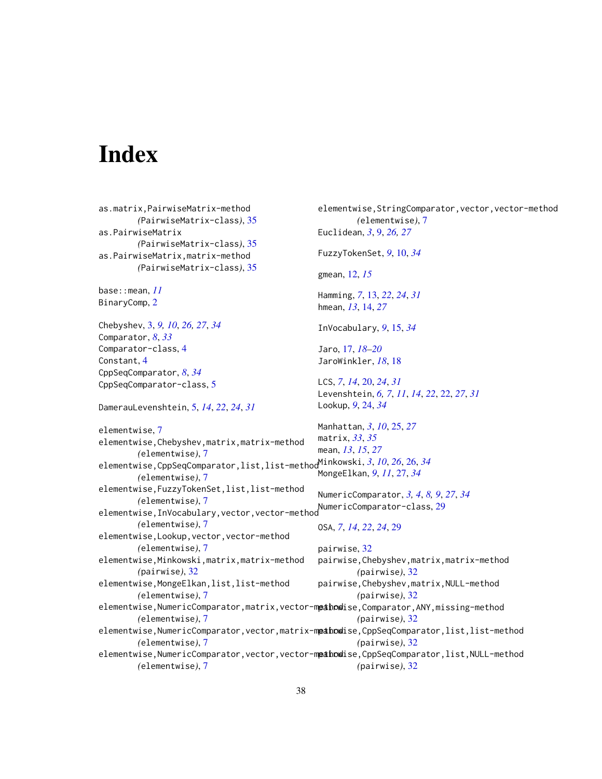# <span id="page-37-0"></span>**Index**

as.matrix,PairwiseMatrix-method *(*PairwiseMatrix-class*)*, [35](#page-34-0) as.PairwiseMatrix *(*PairwiseMatrix-class*)*, [35](#page-34-0) as.PairwiseMatrix,matrix-method *(*PairwiseMatrix-class*)*, [35](#page-34-0) base::mean, *[11](#page-10-0)* BinaryComp, [2](#page-1-0) Chebyshev, [3,](#page-2-0) *[9,](#page-8-0) [10](#page-9-0)*, *[26,](#page-25-0) [27](#page-26-0)*, *[34](#page-33-0)* Comparator, *[8](#page-7-0)*, *[33](#page-32-0)* Comparator-class, [4](#page-3-0) Constant, [4](#page-3-0) CppSeqComparator, *[8](#page-7-0)*, *[34](#page-33-0)* CppSeqComparator-class, [5](#page-4-0) DamerauLevenshtein, [5,](#page-4-0) *[14](#page-13-0)*, *[22](#page-21-0)*, *[24](#page-23-0)*, *[31](#page-30-0)* elementwise, [7](#page-6-0) elementwise,Chebyshev,matrix,matrix-method *(*elementwise*)*, [7](#page-6-0) elementwise,CppSeqComparator,list,list-method Minkowski, *[3](#page-2-0)*, *[10](#page-9-0)*, *[26](#page-25-0)*, [26,](#page-25-0) *[34](#page-33-0) (*elementwise*)*, [7](#page-6-0) elementwise,FuzzyTokenSet,list,list-method *(*elementwise*)*, [7](#page-6-0) elementwise,InVocabulary,vector,vector-method NumericComparator-class, [29](#page-28-0) *(*elementwise*)*, [7](#page-6-0) elementwise,Lookup,vector,vector-method *(*elementwise*)*, [7](#page-6-0) elementwise,Minkowski,matrix,matrix-method *(*pairwise*)*, [32](#page-31-0) elementwise,MongeElkan,list,list-method *(*elementwise*)*, [7](#page-6-0) elementwise,NumericComparator,matrix,vector-m**ethod**ise,Comparator,ANY,missing-method *(*elementwise*)*, [7](#page-6-0) elementwise,NumericComparator,vector,matrix-m**painow**ise,CppSeqComparator,list,list-method *(*elementwise*)*, [7](#page-6-0) elementwise,NumericComparator,vector,vector-m**painow**ise,CppSeqComparator,list,NULL-method *(*elementwise*)*, [7](#page-6-0) elementwise, StringComparator, vector, vector-method *(*elementwise*)*, [7](#page-6-0) Euclidean, *[3](#page-2-0)*, [9,](#page-8-0) *[26,](#page-25-0) [27](#page-26-0)* FuzzyTokenSet, *[9](#page-8-0)*, [10,](#page-9-0) *[34](#page-33-0)* gmean, [12,](#page-11-0) *[15](#page-14-0)* Hamming, *[7](#page-6-0)*, [13,](#page-12-0) *[22](#page-21-0)*, *[24](#page-23-0)*, *[31](#page-30-0)* hmean, *[13](#page-12-0)*, [14,](#page-13-0) *[27](#page-26-0)* InVocabulary, *[9](#page-8-0)*, [15,](#page-14-0) *[34](#page-33-0)* Jaro, [17,](#page-16-0) *[18](#page-17-0)[–20](#page-19-0)* JaroWinkler, *[18](#page-17-0)*, [18](#page-17-0) LCS, *[7](#page-6-0)*, *[14](#page-13-0)*, [20,](#page-19-0) *[24](#page-23-0)*, *[31](#page-30-0)* Levenshtein, *[6,](#page-5-0) [7](#page-6-0)*, *[11](#page-10-0)*, *[14](#page-13-0)*, *[22](#page-21-0)*, [22,](#page-21-0) *[27](#page-26-0)*, *[31](#page-30-0)* Lookup, *[9](#page-8-0)*, [24,](#page-23-0) *[34](#page-33-0)* Manhattan, *[3](#page-2-0)*, *[10](#page-9-0)*, [25,](#page-24-0) *[27](#page-26-0)* matrix, *[33](#page-32-0)*, *[35](#page-34-0)* mean, *[13](#page-12-0)*, *[15](#page-14-0)*, *[27](#page-26-0)* MongeElkan, *[9](#page-8-0)*, *[11](#page-10-0)*, [27,](#page-26-0) *[34](#page-33-0)* NumericComparator, *[3,](#page-2-0) [4](#page-3-0)*, *[8,](#page-7-0) [9](#page-8-0)*, *[27](#page-26-0)*, *[34](#page-33-0)* OSA, *[7](#page-6-0)*, *[14](#page-13-0)*, *[22](#page-21-0)*, *[24](#page-23-0)*, [29](#page-28-0) pairwise, [32](#page-31-0) pairwise,Chebyshev,matrix,matrix-method *(*pairwise*)*, [32](#page-31-0) pairwise,Chebyshev,matrix,NULL-method *(*pairwise*)*, [32](#page-31-0) *(*pairwise*)*, [32](#page-31-0) *(*pairwise*)*, [32](#page-31-0) *(*pairwise*)*, [32](#page-31-0)